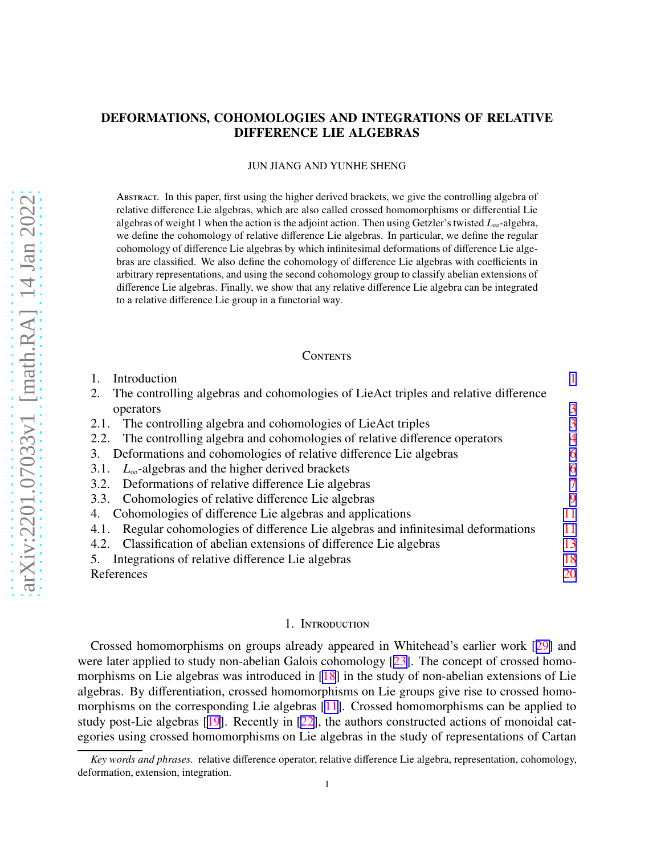# <span id="page-0-0"></span>DEFORMATIONS, COHOMOLOGIES AND INTEGRATIONS OF RELATIVE DIFFERENCE LIE ALGEBRAS

### JUN JIANG AND YUNHE SHENG

Abstract. In this paper, first using the higher derived brackets, we give the controlling algebra of relative difference Lie algebras, which are also called crossed homomorphisms or differential Lie algebras of weight 1 when the action is the adjoint action. Then using Getzler's twisted *L*∞-algebra, we define the cohomology of relative difference Lie algebras. In particular, we define the regular cohomology of difference Lie algebras by which infinitesimal deformations of difference Lie algebras are classified. We also define the cohomology of difference Lie algebras with coefficients in arbitrary representations, and using the second cohomology group to classify abelian extensions of difference Lie algebras. Finally, we show that any relative difference Lie algebra can be integrated to a relative difference Lie group in a functorial way.

### **CONTENTS**

| Introduction                                                                              |    |
|-------------------------------------------------------------------------------------------|----|
| The controlling algebras and cohomologies of LieAct triples and relative difference<br>2. |    |
| operators                                                                                 | 3  |
| The controlling algebra and cohomologies of LieAct triples<br>2.1.                        | 3  |
| The controlling algebra and cohomologies of relative difference operators<br>2.2.         | 4  |
| Deformations and cohomologies of relative difference Lie algebras<br>3.                   | 6  |
| $L_{\infty}$ -algebras and the higher derived brackets<br>3.1.                            | 6  |
| Deformations of relative difference Lie algebras<br>3.2.                                  | 7  |
| 3.3. Cohomologies of relative difference Lie algebras                                     | 9  |
| Cohomologies of difference Lie algebras and applications<br>4.                            | 11 |
| Regular cohomologies of difference Lie algebras and infinitesimal deformations<br>4.1.    | 11 |
| Classification of abelian extensions of difference Lie algebras<br>4.2.                   | 13 |
| Integrations of relative difference Lie algebras                                          | 18 |
| References                                                                                | 20 |

### 1. INTRODUCTION

Crossed homomorphisms on groups already appeared in Whitehead's earlier work [[29\]](#page-20-0) and were later applied to study non-abelian Galois cohomology [[23\]](#page-20-0). The concept of crossed homomorphisms on Lie algebras was introduced in [\[18](#page-20-0)] in the study of non-abelian extensions of Lie algebras. By differentiation, crossed homomorphisms on Lie groups give rise to crossed homomorphisms on the corresponding Lie algebras [[11\]](#page-20-0). Crossed homomorphisms can be applied to study post-Lie algebras [\[19](#page-20-0)]. Recently in [[22\]](#page-20-0), the authors constructed actions of monoidal categories using crossed homomorphisms on Lie algebras in the study of representations of Cartan

*Key words and phrases.* relative difference operator, relative difference Lie algebra, representation, cohomology, deformation, extension, integration.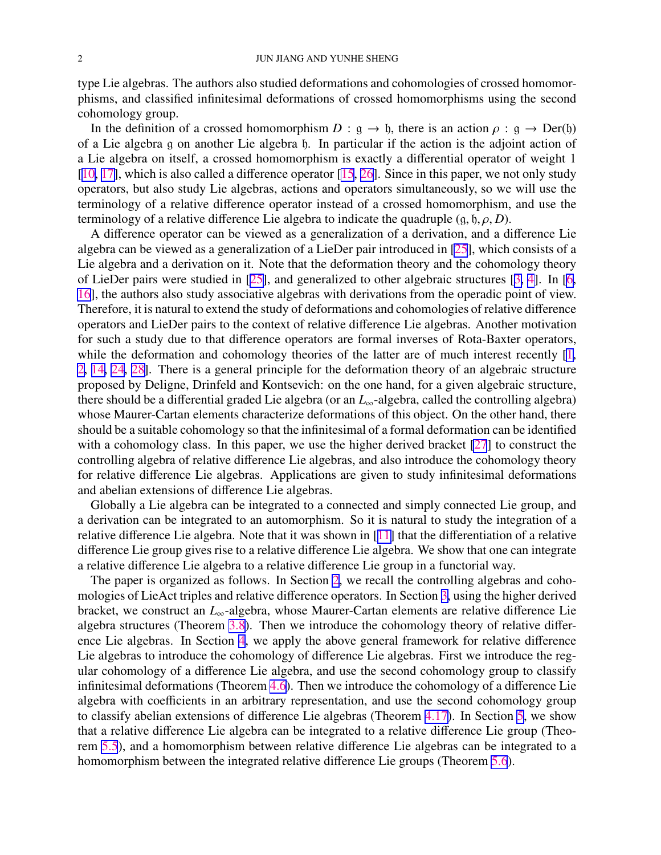<span id="page-1-0"></span>type Lie algebras. The authors also studied deformations and cohomologies of crossed homomorphisms, and classified infinitesimal deformations of crossed homomorphisms using the second cohomology group.

In the definition of a crossed homomorphism  $D : g \to f$ , there is an action  $\rho : g \to Der(f)$ of a Lie algebra g on another Lie algebra h. In particular if the action is the adjoint action of a Lie algebra on itself, a crossed homomorphism is exactly a differential operator of weight 1 [[10,](#page-20-0) [17\]](#page-20-0), which is also called a difference operator [\[15](#page-20-0), [26\]](#page-20-0). Since in this paper, we not only study operators, but also study Lie algebras, actions and operators simultaneously, so we will use the terminology of a relative difference operator instead of a crossed homomorphism, and use the terminology of a relative difference Lie algebra to indicate the quadruple  $(g, \mathfrak{h}, \rho, D)$ .

A difference operator can be viewed as a generalization of a derivation, and a difference Lie algebra can be viewed as a generalization of a LieDer pair introduced in [\[25](#page-20-0)], which consists of a Lie algebra and a derivation on it. Note that the deformation theory and the cohomology theory of LieDer pairs were studied in [[25\]](#page-20-0), and generalized to other algebraic structures [[3,](#page-19-0) [4](#page-19-0)]. In [\[6](#page-19-0), [16](#page-20-0)], the authors also study associative algebras with derivations from the operadic point of view. Therefore, it is natural to extend the study of deformations and cohomologies of relative difference operators and LieDer pairs to the context of relative difference Lie algebras. Another motivation for such a study due to that difference operators are formal inverses of Rota-Baxter operators, while the deformation and cohomology theories of the latter are of much interest recently [\[1](#page-19-0), [2](#page-19-0), [14,](#page-20-0) [24](#page-20-0), [28\]](#page-20-0). There is a general principle for the deformation theory of an algebraic structure proposed by Deligne, Drinfeld and Kontsevich: on the one hand, for a given algebraic structure, there should be a differential graded Lie algebra (or an *L*∞-algebra, called the controlling algebra) whose Maurer-Cartan elements characterize deformations of this object. On the other hand, there should be a suitable cohomology so that the infinitesimal of a formal deformation can be identified with a cohomology class. In this paper, we use the higher derived bracket [\[27](#page-20-0)] to construct the controlling algebra of relative difference Lie algebras, and also introduce the cohomology theory for relative difference Lie algebras. Applications are given to study infinitesimal deformations and abelian extensions of difference Lie algebras.

Globally a Lie algebra can be integrated to a connected and simply connected Lie group, and a derivation can be integrated to an automorphism. So it is natural to study the integration of a relative difference Lie algebra. Note that it was shown in [[11\]](#page-20-0) that the differentiation of a relative difference Lie group gives rise to a relative difference Lie algebra. We show that one can integrate a relative difference Lie algebra to a relative difference Lie group in a functorial way.

The paper is organized as follows. In Section [2](#page-2-0), we recall the controlling algebras and cohomologies of LieAct triples and relative difference operators. In Section [3,](#page-5-0) using the higher derived bracket, we construct an *L*∞-algebra, whose Maurer-Cartan elements are relative difference Lie algebra structures (Theorem [3.8](#page-6-0)). Then we introduce the cohomology theory of relative difference Lie algebras. In Section [4](#page-10-0), we apply the above general framework for relative difference Lie algebras to introduce the cohomology of difference Lie algebras. First we introduce the regular cohomology of a difference Lie algebra, and use the second cohomology group to classify infinitesimal deformations (Theorem [4.6](#page-12-0)). Then we introduce the cohomology of a difference Lie algebra with coefficients in an arbitrary representation, and use the second cohomology group to classify abelian extensions of difference Lie algebras (Theorem [4.17\)](#page-16-0). In Section [5](#page-17-0), we show that a relative difference Lie algebra can be integrated to a relative difference Lie group (Theorem [5.5](#page-18-0)), and a homomorphism between relative difference Lie algebras can be integrated to a homomorphism between the integrated relative difference Lie groups (Theorem [5.6](#page-19-0)).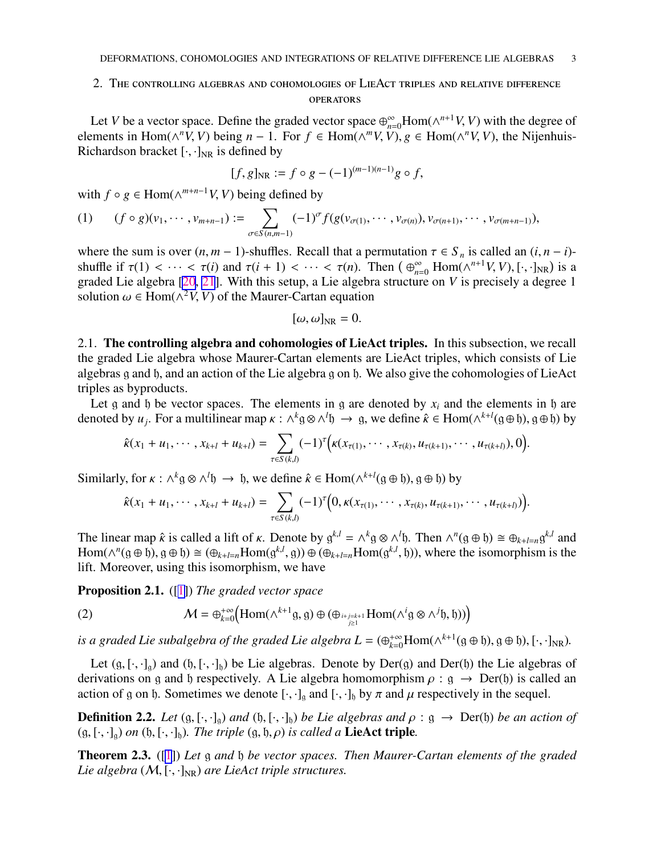# <span id="page-2-0"></span>2. The controlling algebras and cohomologies of LieAct triples and relative difference **OPERATORS**

Let *V* be a vector space. Define the graded vector space  $\bigoplus_{n=0}^{\infty}$ Hom( $\wedge^{n+1}V$ , *V*) with the degree of elements in Hom( $\wedge^n V$ , *V*) being *n* − 1. For  $f \in \text{Hom}(\wedge^m V, V)$ ,  $g \in \text{Hom}(\wedge^n V, V)$ , the Nijenhuis-Richardson bracket  $[\cdot, \cdot]_{NR}$  is defined by

$$
[f, g]_{\rm NR} := f \circ g - (-1)^{(m-1)(n-1)} g \circ f,
$$

with  $f \circ g \in \text{Hom}(\wedge^{m+n-1}V, V)$  being defined by

(1) 
$$
(f \circ g)(v_1, \cdots, v_{m+n-1}) := \sum_{\sigma \in S(n,m-1)} (-1)^{\sigma} f(g(v_{\sigma(1)}, \cdots, v_{\sigma(n)}), v_{\sigma(n+1)}, \cdots, v_{\sigma(m+n-1)}),
$$

where the sum is over  $(n, m - 1)$ -shuffles. Recall that a permutation  $\tau \in S_n$  is called an  $(i, n - i)$ shuffle if  $\tau(1) < \cdots < \tau(i)$  and  $\tau(i + 1) < \cdots < \tau(n)$ . Then  $(\bigoplus_{n=0}^{\infty} \text{Hom}(\wedge^{n+1}V, V), [\cdot, \cdot]_{NR})$  is a graded Lie algebra [\[20](#page-20-0), [21](#page-20-0)]. With this setup, a Lie algebra structure on *V* is precisely a degree 1 solution  $\omega \in \text{Hom}(\wedge^2 V, V)$  of the Maurer-Cartan equation

$$
[\omega,\omega]_{\rm NR}=0.
$$

2.1. The controlling algebra and cohomologies of LieAct triples. In this subsection, we recall the graded Lie algebra whose Maurer-Cartan elements are LieAct triples, which consists of Lie algebras g and h, and an action of the Lie algebra g on h. We also give the cohomologies of LieAct triples as byproducts.

Let g and b be vector spaces. The elements in g are denoted by  $x_i$  and the elements in b are denoted by  $u_j$ . For a multilinear map  $\kappa : \wedge^k g \otimes \wedge^l b \to g$ , we define  $\hat{\kappa} \in \text{Hom}(\wedge^{k+l}(g \oplus b), g \oplus b)$  by

$$
\hat{\kappa}(x_1+u_1,\cdots,x_{k+l}+u_{k+l})=\sum_{\tau\in S(k,l)}(-1)^{\tau}\Big(\kappa(x_{\tau(1)},\cdots,x_{\tau(k)},u_{\tau(k+1)},\cdots,u_{\tau(k+l)}),0\Big).
$$

Similarly, for  $\kappa$  :  $\wedge^k$  g  $\otimes \wedge^l$  h → h, we define  $\hat{\kappa} \in \text{Hom}(\wedge^{k+l} (g \oplus b), g \oplus b)$  by

$$
\hat{\kappa}(x_1+u_1,\cdots,x_{k+l}+u_{k+l})=\sum_{\tau\in S(k,l)}(-1)^{\tau}\big(0,\kappa(x_{\tau(1)},\cdots,x_{\tau(k)},u_{\tau(k+1)},\cdots,u_{\tau(k+l)})\big).
$$

The linear map  $\hat{\kappa}$  is called a lift of  $\kappa$ . Denote by  $g^{k,l} = \wedge^k g \otimes \wedge^l \mathfrak{h}$ . Then  $\wedge^n (g \oplus \mathfrak{h}) \cong \bigoplus_{k+l=n} g^{k,l}$  and  $Hom(\wedge^n(g \oplus \mathfrak{h}), g \oplus \mathfrak{h}) \cong (\oplus_{k+l=n}Hom(g^{k,l}, g)) \oplus (\oplus_{k+l=n}Hom(g^{k,l}, \mathfrak{h}))$ , where the isomorphism is the lift. Moreover, using this isomorphism, we have

Proposition 2.1. ([[1\]](#page-19-0)) *The graded vector space*

(2) 
$$
\mathcal{M} = \bigoplus_{k=0}^{+\infty} \left( \text{Hom}(\wedge^{k+1} \mathfrak{g}, \mathfrak{g}) \oplus (\bigoplus_{i+j=k+1} \text{Hom}(\wedge^i \mathfrak{g} \otimes \wedge^j \mathfrak{h}, \mathfrak{h})) \right)
$$

*is a graded Lie subalgebra of the graded Lie algebra*  $L = (\bigoplus_{k=0}^{+\infty} \text{Hom}(\wedge^{k+1}(\mathfrak{g} \oplus \mathfrak{h}), \mathfrak{g} \oplus \mathfrak{h}), [\cdot, \cdot]_{\text{NR}})$ .

Let  $(g, [\cdot, \cdot]_g)$  and  $(h, [\cdot, \cdot]_h)$  be Lie algebras. Denote by Der(g) and Der(h) the Lie algebras of derivations on g and h respectively. A Lie algebra homomorphism  $\rho$ : g  $\rightarrow$  Der(h) is called an action of g on h. Sometimes we denote  $[\cdot, \cdot]_q$  and  $[\cdot, \cdot]_q$  by  $\pi$  and  $\mu$  respectively in the sequel.

**Definition 2.2.** *Let*  $(g, [\cdot, \cdot]_g)$  *and*  $(h, [\cdot, \cdot]_h)$  *be Lie algebras and*  $\rho : g \to Der(h)$  *be an action of*  $(g, [\cdot, \cdot]_0)$  *on*  $(h, [\cdot, \cdot]_h)$ *. The triple*  $(g, h, \rho)$  *is called a* **LieAct triple**.

Theorem 2.3. ([\[1](#page-19-0)]) *Let* g *and* h *be vector spaces. Then Maurer-Cartan elements of the graded Lie algebra*  $(M, [\cdot, \cdot]_{NR})$  *are LieAct triple structures.*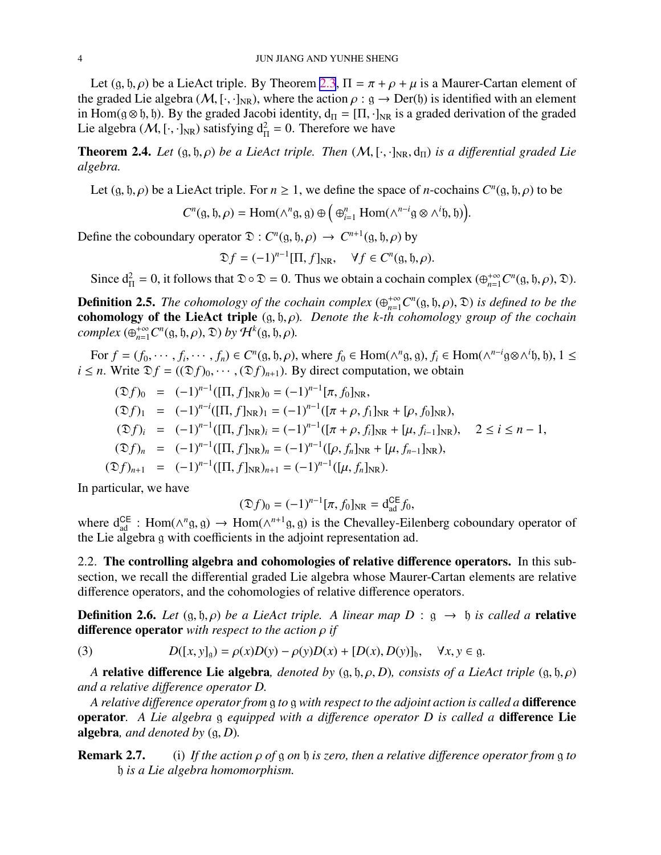<span id="page-3-0"></span>Let  $(g, \mathfrak{h}, \rho)$  be a LieAct triple. By Theorem [2.3](#page-2-0),  $\Pi = \pi + \rho + \mu$  is a Maurer-Cartan element of the graded Lie algebra (M, [·,·]<sub>NR</sub>), where the action  $\rho : g \to Der(f)$  is identified with an element in Hom( $g \otimes f$ ), By the graded Jacobi identity,  $d_{\Pi} = [\Pi, \cdot]_{NR}$  is a graded derivation of the graded Lie algebra (*M*, [·,·]<sub>NR</sub>) satisfying  $d_{\Pi}^2 = 0$ . Therefore we have

**Theorem 2.4.** *Let*  $(g, b, \rho)$  *be a LieAct triple. Then*  $(M, [\cdot, \cdot]_{NR}, d_{\Pi})$  *is a differential graded Lie algebra.*

Let  $(g, \mathfrak{h}, \rho)$  be a LieAct triple. For  $n \geq 1$ , we define the space of *n*-cochains  $C^n(g, \mathfrak{h}, \rho)$  to be

$$
C^{n}(\mathfrak{g}, \mathfrak{h}, \rho) = \text{Hom}(\wedge^{n} \mathfrak{g}, \mathfrak{g}) \oplus \left( \bigoplus_{i=1}^{n} \text{Hom}(\wedge^{n-i} \mathfrak{g} \otimes \wedge^{i} \mathfrak{h}, \mathfrak{h}) \right).
$$

Define the coboundary operator  $\mathfrak{D}: C^n(\mathfrak{g}, \mathfrak{h}, \rho) \to C^{n+1}(\mathfrak{g}, \mathfrak{h}, \rho)$  by

$$
\mathfrak{D}f = (-1)^{n-1} [\Pi, f]_{\operatorname{NR}}, \quad \forall f \in C^n(\mathfrak{g}, \mathfrak{h}, \rho).
$$

Since  $d_{\Pi}^2 = 0$ , it follows that  $\mathfrak{D} \circ \mathfrak{D} = 0$ . Thus we obtain a cochain complex  $(\bigoplus_{n=1}^{+\infty} C^n(g, \mathfrak{h}, \rho), \mathfrak{D})$ .

**Definition 2.5.** *The cohomology of the cochain complex*  $(\bigoplus_{n=1}^{+\infty} C^n(\mathfrak{g}, \mathfrak{h}, \rho), \mathfrak{D})$  *is defined to be the* cohomology of the LieAct triple (g, h, ρ)*. Denote the k-th cohomology group of the cochain complex*  $(\bigoplus_{n=1}^{+\infty} C^n(\mathfrak{g}, \mathfrak{h}, \rho), \mathfrak{D})$  *by*  $\mathcal{H}^k(\mathfrak{g}, \mathfrak{h}, \rho)$ *.* 

For  $f = (f_0, \dots, f_i, \dots, f_n) \in C^n(\mathfrak{g}, \mathfrak{h}, \rho)$ , where  $f_0 \in \text{Hom}(\wedge^n \mathfrak{g}, \mathfrak{g}), f_i \in \text{Hom}(\wedge^{n-i} \mathfrak{g} \otimes \wedge^i \mathfrak{h}, \mathfrak{h}), 1 \leq$ *i*  $\leq$  *n*. Write  $\mathfrak{D}f = ((\mathfrak{D}f)_0, \cdots, (\mathfrak{D}f)_{n+1})$ . By direct computation, we obtain

$$
(\mathfrak{D}f)_0 = (-1)^{n-1}([\Pi, f]_{NR})_0 = (-1)^{n-1}[\pi, f_0]_{NR},
$$
  
\n
$$
(\mathfrak{D}f)_1 = (-1)^{n-i}([\Pi, f]_{NR})_1 = (-1)^{n-1}([\pi + \rho, f_1]_{NR} + [\rho, f_0]_{NR}),
$$
  
\n
$$
(\mathfrak{D}f)_i = (-1)^{n-1}([\Pi, f]_{NR})_i = (-1)^{n-1}([\pi + \rho, f_i]_{NR} + [\mu, f_{i-1}]_{NR}), \quad 2 \le i \le n - 1,
$$
  
\n
$$
(\mathfrak{D}f)_n = (-1)^{n-1}([\Pi, f]_{NR})_n = (-1)^{n-1}([\rho, f_n]_{NR} + [\mu, f_{n-1}]_{NR}),
$$
  
\n
$$
(\mathfrak{D}f)_{n+1} = (-1)^{n-1}([\Pi, f]_{NR})_{n+1} = (-1)^{n-1}([\mu, f_n]_{NR}).
$$

In particular, we have

$$
(\mathfrak{D}f)_0 = (-1)^{n-1} [\pi, f_0]_{\rm NR} = d_{\rm ad}^{\rm CE} f_0,
$$

where  $d_{ad}^{CE}$ : Hom( $\wedge^n g$ , g)  $\rightarrow$  Hom( $\wedge^{n+1} g$ , g) is the Chevalley-Eilenberg coboundary operator of the Lie algebra g with coefficients in the adjoint representation ad.

2.2. The controlling algebra and cohomologies of relative difference operators. In this subsection, we recall the differential graded Lie algebra whose Maurer-Cartan elements are relative difference operators, and the cohomologies of relative difference operators.

**Definition 2.6.** Let  $(g, \mathfrak{h}, \rho)$  be a LieAct triple. A linear map D :  $g \rightarrow \mathfrak{h}$  is called a **relative** difference operator *with respect to the action* ρ *if*

(3) 
$$
D([x, y]_g) = \rho(x)D(y) - \rho(y)D(x) + [D(x), D(y)]_g, \quad \forall x, y \in g.
$$

*A* relative difference Lie algebra, *denoted by*  $(g, \mathfrak{h}, \rho, D)$ *, consists of a LieAct triple*  $(g, \mathfrak{h}, \rho)$ *and a relative di*ff*erence operator D.*

*A relative di*ff*erence operator from* g *to* g *with respect to the adjoint action is called a* difference operator*. A Lie algebra* g *equipped with a di*ff*erence operator D is called a* difference Lie algebra*, and denoted by* (g, *D*)*.*

Remark 2.7. (i) *If the action* ρ *of* g *on* h *is zero, then a relative di*ff*erence operator from* g *to* h *is a Lie algebra homomorphism.*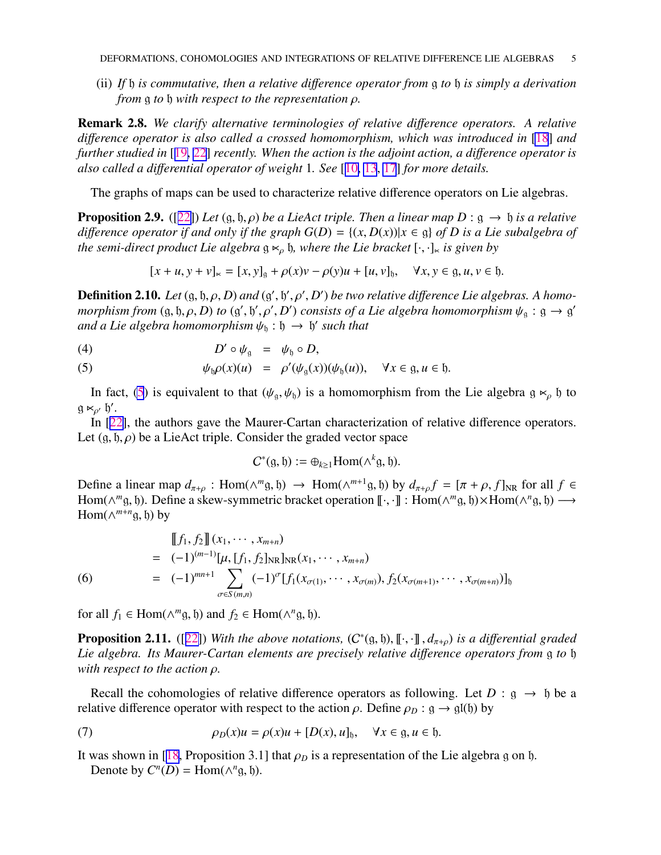<span id="page-4-0"></span>(ii) *If* h *is commutative, then a relative di*ff*erence operator from* g *to* h *is simply a derivation from* g *to* h *with respect to the representation* ρ*.*

Remark 2.8. *We clarify alternative terminologies of relative di*ff*erence operators. A relative di*ff*erence operator is also called a crossed homomorphism, which was introduced in* [\[18](#page-20-0)] *and further studied in* [[19,](#page-20-0) [22](#page-20-0)] *recently. When the action is the adjoint action, a di*ff*erence operator is also called a di*ff*erential operator of weight* 1*. See* [[10,](#page-20-0) [13](#page-20-0), [17](#page-20-0)] *for more details.*

The graphs of maps can be used to characterize relative difference operators on Lie algebras.

**Proposition 2.9.** ([[22\]](#page-20-0)) *Let* (g, b,  $\rho$ ) *be a LieAct triple. Then a linear map D* : g  $\rightarrow$  b *is a relative difference operator if and only if the graph*  $G(D) = \{(x, D(x)) | x \in \mathfrak{g} \}$  *of D* is a Lie subalgebra of *the semi-direct product Lie algebra*  $g \ltimes_{\rho} g$ , where the Lie bracket  $[\cdot, \cdot]_{\ltimes}$  is given by

$$
[x + u, y + v]_{\ltimes} = [x, y]_g + \rho(x)v - \rho(y)u + [u, v]_h, \quad \forall x, y \in g, u, v \in h.
$$

**Definition 2.10.** Let  $(g, b, \rho, D)$  and  $(g', b', \rho', D')$  be two relative difference Lie algebras. A homo*morphism from* (g, b,  $\rho$ , D) to (g', b',  $\rho'$ , D') consists of a Lie algebra homomorphism  $\psi_{\rm g}$  : g  $\rightarrow$  g' and a Lie algebra homomorphism  $\psi_{\mathfrak{h}} : \mathfrak{h} \to \mathfrak{h}'$  such that

$$
(4) \t\t D' \circ \psi_{\mathfrak{g}} = \psi_{\mathfrak{h}} \circ D,
$$

(5) 
$$
\psi_{\mathfrak{h}} \rho(x)(u) = \rho'(\psi_{\mathfrak{g}}(x))(\psi_{\mathfrak{h}}(u)), \quad \forall x \in \mathfrak{g}, u \in \mathfrak{h}.
$$

In fact, (5) is equivalent to that  $(\psi_{g}, \psi_{b})$  is a homomorphism from the Lie algebra g  $\kappa_{\rho}$  h to  $g \ltimes_{\rho'} b'$ .

In [[22\]](#page-20-0), the authors gave the Maurer-Cartan characterization of relative difference operators. Let  $(g, \mathfrak{h}, \rho)$  be a LieAct triple. Consider the graded vector space

$$
C^*(g, \mathfrak{h}) := \bigoplus_{k \geq 1} \text{Hom}(\wedge^k g, \mathfrak{h}).
$$

Define a linear map  $d_{\pi+\rho}$ : Hom( $\wedge^m$ g, b)  $\rightarrow$  Hom( $\wedge^{m+1}$ g, b) by  $d_{\pi+\rho} f = [\pi + \rho, f]_{NR}$  for all  $f \in$ Hom( $\wedge^m$ g, h). Define a skew-symmetric bracket operation  $\llbracket \cdot, \cdot \rrbracket$  : Hom( $\wedge^m$ g, h)×Hom( $\wedge^n$ g, h)  $\longrightarrow$ Hom( $\wedge^{m+n}$ g,  $\mathfrak{h}$ ) by

$$
\begin{aligned}\n& \left[ f_1, f_2 \right] \left( x_1, \cdots, x_{m+n} \right) \\
&= (-1)^{(m-1)} [\mu, [f_1, f_2]_{\text{NR}}]_{\text{NR}} (x_1, \cdots, x_{m+n}) \\
&= (-1)^{mn+1} \sum_{\sigma \in S(m,n)} (-1)^{\sigma} [f_1(x_{\sigma(1)}, \cdots, x_{\sigma(m)}), f_2(x_{\sigma(m+1)}, \cdots, x_{\sigma(m+n)})]_{\text{b}}\n\end{aligned}
$$

for all  $f_1 \in \text{Hom}(\wedge^m \mathfrak{g}, \mathfrak{h})$  and  $f_2 \in \text{Hom}(\wedge^n \mathfrak{g}, \mathfrak{h})$ .

**Proposition 2.11.** ([[22\]](#page-20-0)) With the above notations,  $(C^*(g, \mathfrak{h}), \llbracket \cdot, \cdot \rrbracket, d_{\pi+\rho})$  is a differential graded *Lie algebra. Its Maurer-Cartan elements are precisely relative di*ff*erence operators from* g *to* h *with respect to the action* ρ*.*

Recall the cohomologies of relative difference operators as following. Let  $D : g \to \mathfrak{h}$  be a relative difference operator with respect to the action  $\rho$ . Define  $\rho_D : \mathfrak{g} \to \mathfrak{gl}(\mathfrak{h})$  by

(7) 
$$
\rho_D(x)u = \rho(x)u + [D(x), u]_{{\mathfrak h}}, \quad \forall x \in {\mathfrak g}, u \in {\mathfrak h}.
$$

It was shown in [[18,](#page-20-0) Proposition 3.1] that  $\rho_D$  is a representation of the Lie algebra g on h. Denote by  $C^n(D) = \text{Hom}(\wedge^n g, \mathfrak{h}).$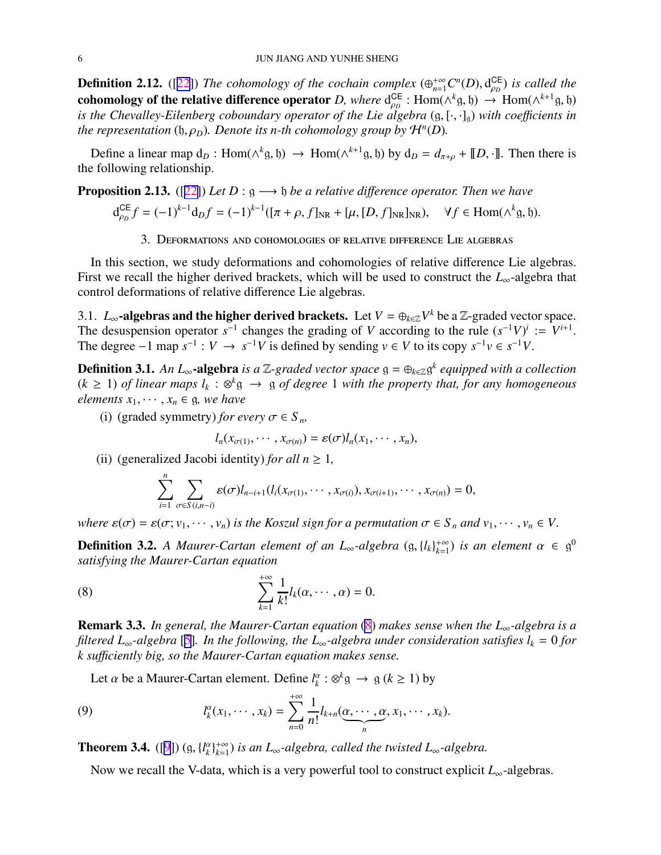<span id="page-5-0"></span>**Definition 2.12.** ([[22\]](#page-20-0)) The cohomology of the cochain complex  $(\bigoplus_{n=1}^{+\infty} C^n(D), d_{\rho_D}^{\sf CE})$ ρ*D* ) *is called the* cohomology of the relative difference operator *D, where*  $d_{op}^{CE}$  ${}_{\rho_D}^{CE}$  : Hom( $\wedge^k$ g,  $\phi$ )  $\rightarrow$  Hom( $\wedge^{k+1}$ g,  $\phi$ ) *is the Chevalley-Eilenberg coboundary operator of the Lie algebra*  $(g, [\cdot, \cdot]_g)$  *with coefficients in the representation*  $(h, \rho_D)$ *. Denote its n-th cohomology group by*  $\mathcal{H}^n(D)$ *.* 

Define a linear map  $d_D$ : Hom( $\wedge^k$ g,  $\uparrow$ )  $\rightarrow$  Hom( $\wedge^{k+1}$ g,  $\uparrow$ )) by  $d_D = d_{\pi+\rho} + [D, \cdot]$ . Then there is the following relationship.

**Proposition 2.13.** ([[22\]](#page-20-0)) *Let*  $D: \mathfrak{g} \longrightarrow \mathfrak{h}$  *be a relative difference operator. Then we have* 

$$
d_{\rho_D}^{CE} f = (-1)^{k-1} d_D f = (-1)^{k-1} ([\pi + \rho, f]_{NR} + [\mu, [D, f]_{NR}]_{NR}), \quad \forall f \in \text{Hom}(\wedge^k g, \mathfrak{h}).
$$

3. Deformations and cohomologies of relative difference Lie algebras

In this section, we study deformations and cohomologies of relative difference Lie algebras. First we recall the higher derived brackets, which will be used to construct the *L*∞-algebra that control deformations of relative difference Lie algebras.

3.1.  $L_{\infty}$ -algebras and the higher derived brackets. Let  $V = \bigoplus_{k \in \mathbb{Z}} V^k$  be a Z-graded vector space. The desuspension operator  $s^{-1}$  changes the grading of *V* according to the rule  $(s^{-1}V)^i := V^{i+1}$ . The degree  $-1$  map  $s^{-1}: V \to s^{-1}V$  is defined by sending  $v \in V$  to its copy  $s^{-1}v \in s^{-1}V$ .

Definition 3.1. *An L*∞-algebra *is a* Z*-graded vector space* g = ⊕*k*∈<sup>Z</sup>g *k equipped with a collection*  $(k ≥ 1)$  *of linear maps*  $l_k : ⊗^k$ g  $→$  g *of degree* 1 *with the property that, for any homogeneous elements*  $x_1, \dots, x_n \in \mathfrak{g}$ *, we have* 

(i) (graded symmetry) *for every*  $\sigma \in S_n$ ,

$$
l_n(x_{\sigma(1)},\cdots,x_{\sigma(n)})=\varepsilon(\sigma)l_n(x_1,\cdots,x_n),
$$

(ii) (generalized Jacobi identity) *for all*  $n \geq 1$ ,

$$
\sum_{i=1}^n\sum_{\sigma\in S(i,n-i)}\varepsilon(\sigma)l_{n-i+1}(l_i(x_{\sigma(1)},\cdots,x_{\sigma(i)}),x_{\sigma(i+1)},\cdots,x_{\sigma(n)})=0,
$$

*where*  $\varepsilon(\sigma) = \varepsilon(\sigma; v_1, \dots, v_n)$  *is the Koszul sign for a permutation*  $\sigma \in S_n$  *and*  $v_1, \dots, v_n \in V$ .

**Definition 3.2.** A Maurer-Cartan element of an  $L_{\infty}$ -algebra  $(g, \{l_k\}_{k=1}^{+\infty})$  $\binom{+\infty}{k=1}$  *is an element*  $\alpha \in \mathfrak{g}^0$ *satisfying the Maurer-Cartan equation*

(8) 
$$
\sum_{k=1}^{+\infty} \frac{1}{k!} l_k(\alpha, \cdots, \alpha) = 0.
$$

Remark 3.3. *In general, the Maurer-Cartan equation* (8) *makes sense when the L*∞*-algebra is a filtered L*∞*-algebra* [\[5](#page-19-0)]*. In the following, the L*∞*-algebra under consideration satisfies l<sup>k</sup>* = 0 *for k su*ffi*ciently big, so the Maurer-Cartan equation makes sense.*

Let  $\alpha$  be a Maurer-Cartan element. Define  $l_k^{\alpha}$  $\frac{a}{k}$  :  $\otimes^k$ g  $\rightarrow$  g ( $k \ge 1$ ) by

(9) 
$$
l_k^{\alpha}(x_1,\dots,x_k)=\sum_{n=0}^{+\infty}\frac{1}{n!}l_{k+n}(\underbrace{\alpha,\dots,\alpha}_{n},x_1,\dots,x_k).
$$

**Theorem 3.4.** ([\[9](#page-20-0)]) (g,  $\{l_k^{\alpha}\}$  $\binom{\alpha}{k}$ <sup>+∞</sup><br> $k=1$ *k*=1 ) *is an L*∞*-algebra, called the twisted L*∞*-algebra.*

Now we recall the V-data, which is a very powerful tool to construct explicit *L*∞-algebras.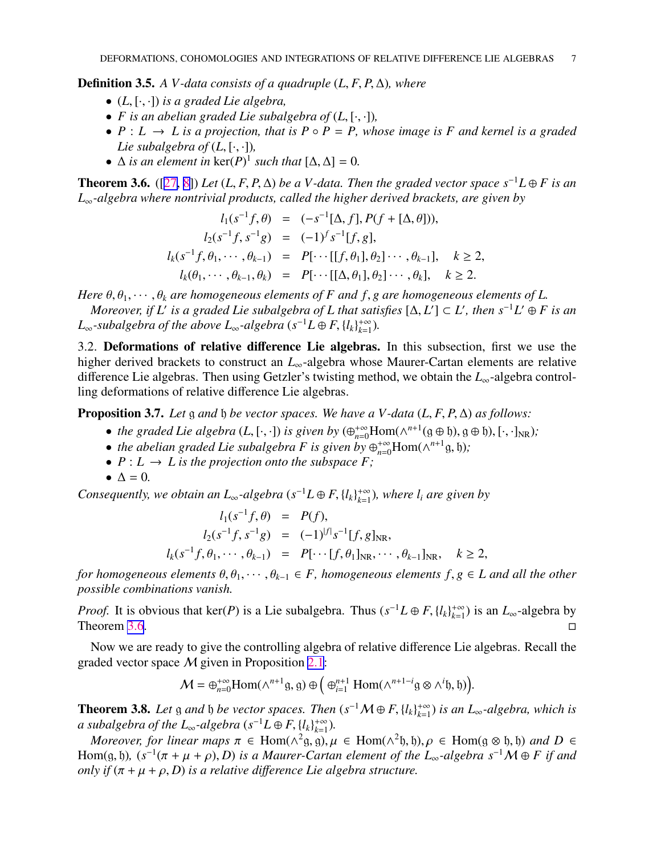<span id="page-6-0"></span>**Definition 3.5.** *A V-data consists of a quadruple*  $(L, F, P, \Delta)$ *, where* 

- (*L*, [·, ·]) *is a graded Lie algebra,*
- *F* is an abelian graded Lie subalgebra of  $(L, [\cdot, \cdot])$ ,
- $P: L \rightarrow L$  *is a projection, that is*  $P \circ P = P$ *, whose image is* F *and kernel is a graded Lie subalgebra of*  $(L, [\cdot, \cdot])$ *,*
- $\Delta$  *is an element in*  $\ker(P)^{1}$  *such that*  $[\Delta, \Delta] = 0$ *.*

**Theorem 3.6.** ([[27,](#page-20-0) [8\]](#page-20-0)) *Let* (*L, F, P,*  $\Delta$ *) be a V-data. Then the graded vector space*  $s^{-1}L ⊕ F$  *is an L*∞*-algebra where nontrivial products, called the higher derived brackets, are given by*

$$
l_1(s^{-1}f, \theta) = (-s^{-1}[\Delta, f], P(f + [\Delta, \theta])),
$$
  
\n
$$
l_2(s^{-1}f, s^{-1}g) = (-1)^f s^{-1}[f, g],
$$
  
\n
$$
l_k(s^{-1}f, \theta_1, \dots, \theta_{k-1}) = P[\dots[[f, \theta_1], \theta_2] \dots, \theta_{k-1}], \quad k \ge 2,
$$
  
\n
$$
l_k(\theta_1, \dots, \theta_{k-1}, \theta_k) = P[\dots[[\Delta, \theta_1], \theta_2] \dots, \theta_k], \quad k \ge 2.
$$

*Here*  $\theta$ ,  $\theta$ <sub>1</sub>,  $\cdots$ ,  $\theta$ <sub>k</sub> are homogeneous elements of F and f, g are homogeneous elements of L.

*Moreover, if* L' is a graded Lie subalgebra of L that satisfies  $[\Delta, L'] \subset L'$ , then  $s^{-1}L' \oplus F$  is an  $L_{\infty}$ -subalgebra of the above  $L_{\infty}$ -algebra ( $s^{-1}L \oplus F, \{l_k\}_{k=1}^{+\infty}$  $_{k=1}^{+\infty}$ ).

3.2. Deformations of relative difference Lie algebras. In this subsection, first we use the higher derived brackets to construct an *L*∞-algebra whose Maurer-Cartan elements are relative difference Lie algebras. Then using Getzler's twisting method, we obtain the *L*∞-algebra controlling deformations of relative difference Lie algebras.

**Proposition 3.7.** *Let* g *and* b *be vector spaces. We have a V-data* (*L*, *F*, *P*,  $\Delta$ ) *as follows:* 

- *the graded Lie algebra*  $(L, [\cdot, \cdot])$  *is given by*  $(\bigoplus_{n=0}^{+\infty} \text{Hom}(\wedge^{n+1}(\mathfrak{g} \oplus \mathfrak{h}), \mathfrak{g} \oplus \mathfrak{h}), [\cdot, \cdot]_{NR})$ ;
- *the abelian graded Lie subalgebra F is given by*  $\bigoplus_{n=0}^{+\infty}$  Hom( $\wedge^{n+1}$ g, b);
- $P: L \to L$  *is the projection onto the subspace*  $F$ *;*
- $\Delta = 0$ .

*Consequently, we obtain an*  $L_{\infty}$ -algebra  $(s^{-1}L \oplus F, \{l_k\}_{k=1}^{+\infty})$ *k*=1 )*, where l<sup>i</sup> are given by*

$$
l_1(s^{-1}f, \theta) = P(f),
$$
  
\n
$$
l_2(s^{-1}f, s^{-1}g) = (-1)^{|f|} s^{-1} [f, g]_{NR},
$$
  
\n
$$
l_k(s^{-1}f, \theta_1, \dots, \theta_{k-1}) = P[\dots[f, \theta_1]_{NR}, \dots, \theta_{k-1}]_{NR}, \quad k \ge 2,
$$

*for homogeneous elements*  $\theta$ , $\theta$ <sub>1</sub>,  $\dots$ , $\theta$ <sub>k−1</sub>  $\in$  *F*, *homogeneous elements*  $f$ ,  $g \in L$  *and all the other possible combinations vanish.*

*Proof.* It is obvious that ker(*P*) is a Lie subalgebra. Thus  $(s^{-1}L \oplus F, \{l_k\}_{k=1}^{+\infty})$ *k*=1 ) is an *L*∞-algebra by Theorem 3.6.  $\Box$ 

Now we are ready to give the controlling algebra of relative difference Lie algebras. Recall the graded vector space M given in Proposition [2.1](#page-2-0):

$$
\mathcal{M}=\oplus_{n=0}^{+\infty}\mathrm{Hom}(\wedge^{n+1}\mathfrak{g},\mathfrak{g})\oplus\big(\oplus_{i=1}^{n+1}\mathrm{Hom}(\wedge^{n+1-i}\mathfrak{g}\otimes\wedge^{i}\mathfrak{h},\mathfrak{h})\big).
$$

**Theorem 3.8.** Let g and b be vector spaces. Then  $(s^{-1}M \oplus F, \{l_k\}_{k=1}^{+\infty})$ *k*=1 ) *is an L*∞*-algebra, which is* a subalgebra of the  $L_{\infty}$ -algebra  $(s^{-1}L \oplus F, \{l_{k}\}_{k=1}^{+\infty})$  $_{k=1}^{+\infty}$ ).

*Moreover, for linear maps*  $\pi \in \text{Hom}(\wedge^2 \mathfrak{g}, \mathfrak{g}), \mu \in \text{Hom}(\wedge^2 \mathfrak{h}, \mathfrak{h}), \rho \in \text{Hom}(\mathfrak{g} \otimes \mathfrak{h}, \mathfrak{h})$  and  $D \in$ Hom(g, b),  $(s^{-1}(\pi + \mu + \rho), D)$  *is a Maurer-Cartan element of the L*<sub>∞</sub>-algebra  $s^{-1}M \oplus F$  *if and only if*  $(\pi + \mu + \rho, D)$  *is a relative difference Lie algebra structure.*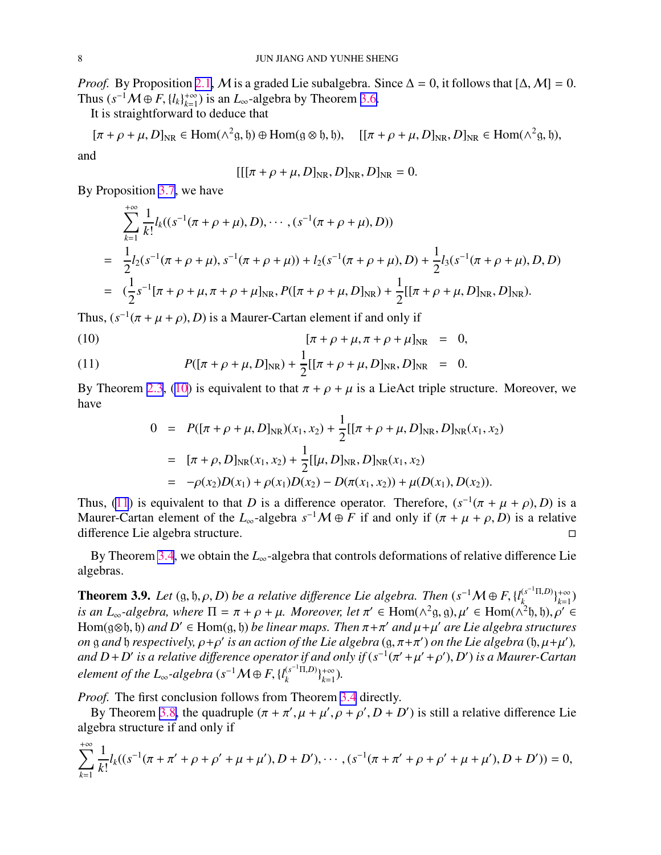*Proof.* By Proposition [2.1,](#page-2-0) M is a graded Lie subalgebra. Since  $\Delta = 0$ , it follows that  $[\Delta, M] = 0$ . Thus  $(s^{-1}M \oplus F, \{l_k\}_{k=1}^{+\infty})$ <sup>+∞</sup> $_{k=1}^{+\infty}$ ) is an  $L_{\infty}$ -algebra by Theorem [3.6.](#page-6-0)

It is straightforward to deduce that

 $[\pi + \rho + \mu, D]_{\text{NR}} \in \text{Hom}(\wedge^2 \mathfrak{g}, \mathfrak{h}) \oplus \text{Hom}(\mathfrak{g} \otimes \mathfrak{h}, \mathfrak{h}), \quad [[\pi + \rho + \mu, D]_{\text{NR}}, D]_{\text{NR}} \in \text{Hom}(\wedge^2 \mathfrak{g}, \mathfrak{h}),$ and

$$
[[[\pi + \rho + \mu, D]_{\text{NR}}, D]_{\text{NR}}, D]_{\text{NR}} = 0.
$$

By Proposition [3.7](#page-6-0), we have

$$
\sum_{k=1}^{+\infty} \frac{1}{k!} l_k((s^{-1}(\pi + \rho + \mu), D), \cdots, (s^{-1}(\pi + \rho + \mu), D))
$$
\n
$$
= \frac{1}{2} l_2(s^{-1}(\pi + \rho + \mu), s^{-1}(\pi + \rho + \mu)) + l_2(s^{-1}(\pi + \rho + \mu), D) + \frac{1}{2} l_3(s^{-1}(\pi + \rho + \mu), D, D)
$$
\n
$$
= (\frac{1}{2} s^{-1}[\pi + \rho + \mu, \pi + \rho + \mu]_{NR}, P([\pi + \rho + \mu, D]_{NR}) + \frac{1}{2} [[\pi + \rho + \mu, D]_{NR}, D]_{NR}).
$$

Thus,  $(s^{-1}(\pi + \mu + \rho), D)$  is a Maurer-Cartan element if and only if

(10) 
$$
[\pi + \rho + \mu, \pi + \rho + \mu]_{NR} = 0,
$$

(11) 
$$
P([\pi + \rho + \mu, D]_{NR}) + \frac{1}{2} [[\pi + \rho + \mu, D]_{NR}, D]_{NR} = 0.
$$

By Theorem [2.3](#page-2-0), (10) is equivalent to that  $\pi + \rho + \mu$  is a LieAct triple structure. Moreover, we have

$$
0 = P([\pi + \rho + \mu, D]_{NR})(x_1, x_2) + \frac{1}{2} [[\pi + \rho + \mu, D]_{NR}, D]_{NR}(x_1, x_2)
$$
  
=  $[\pi + \rho, D]_{NR}(x_1, x_2) + \frac{1}{2} [[\mu, D]_{NR}, D]_{NR}(x_1, x_2)$   
=  $-\rho(x_2)D(x_1) + \rho(x_1)D(x_2) - D(\pi(x_1, x_2)) + \mu(D(x_1), D(x_2)).$ 

Thus, (11) is equivalent to that *D* is a difference operator. Therefore,  $(s^{-1}(\pi + \mu + \rho), D)$  is a Maurer-Cartan element of the  $L_{\infty}$ -algebra  $s^{-1}M \oplus F$  if and only if  $(\pi + \mu + \rho, D)$  is a relative difference Lie algebra structure.

By Theorem [3.4](#page-5-0), we obtain the *L*∞-algebra that controls deformations of relative difference Lie algebras.

**Theorem 3.9.** Let  $(g, b, \rho, D)$  be a relative difference Lie algebra. Then  $(s^{-1}M \oplus F, \{l_k^{(s^{-1}\Pi,D)}\}$  $\binom{s^{-1}\Pi, D}{k}$  + ∞<br>  $\binom{k}{k}$  $_{k=1}^{+\infty}$ *is an L*<sub>∞</sub>-algebra, where  $\Pi = \pi + \rho + \mu$ . Moreover, let  $\pi' \in Hom(\wedge^2 \mathfrak{g}, \mathfrak{g}), \mu' \in Hom(\wedge^2 \mathfrak{h}, \mathfrak{h}), \rho' \in$ Hom(g $\otimes$ b, b) *and D'*  $\in$  Hom(g, b) *be linear maps. Then*  $\pi + \pi'$  *and*  $\mu + \mu'$  *are Lie algebra structures on* g and b *respectively,*  $\rho + \rho'$  is an action of the Lie algebra  $(g, \pi + \pi')$  on the Lie algebra  $(h, \mu + \mu')$ , and  $D + D'$  is a relative difference operator if and only if  $(s^{-1}(\pi' + \mu' + \rho'), D')$  is a Maurer-Cartan  $e$ *lement of the L*∞-algebra ( $s^{-1}M \oplus F$ , { $l_k^{(s^{-1}\Pi,D)}$  ${k^{(s^{-1}\Pi,D)}\}_{k=1}^{+\infty}$ *k*=1 )*.*

*Proof.* The first conclusion follows from Theorem [3.4](#page-5-0) directly.

By Theorem [3.8,](#page-6-0) the quadruple  $(\pi + \pi', \mu + \mu', \rho + \rho', D + D')$  is still a relative difference Lie algebra structure if and only if

$$
\sum_{k=1}^{+\infty} \frac{1}{k!} l_k((s^{-1}(\pi + \pi' + \rho + \rho' + \mu + \mu'), D + D'), \cdots, (s^{-1}(\pi + \pi' + \rho + \rho' + \mu + \mu'), D + D')) = 0,
$$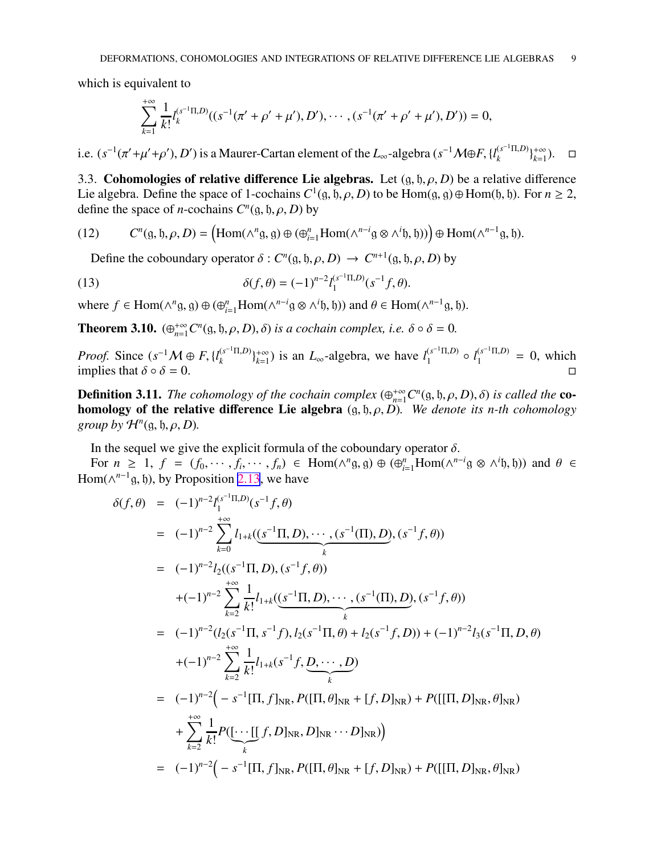<span id="page-8-0"></span>which is equivalent to

$$
\sum_{k=1}^{+\infty} \frac{1}{k!} l_k^{(s^{-1}\Pi,D)}((s^{-1}(\pi' + \rho' + \mu'), D'), \cdots, (s^{-1}(\pi' + \rho' + \mu'), D')) = 0,
$$

i.e.  $(s^{-1}(\pi' + \mu' + \rho'), D')$  is a Maurer-Cartan element of the  $L_{\infty}$ -algebra  $(s^{-1}M \oplus F, \{l_k^{(s^{-1}\Pi, D)}\}$  ${k^{(s^{-1}\Pi,D)}\}_{k=1}^{+\infty}$  $_{k=1}^{+\infty}$ ).  $\Box$ 

3.3. Cohomologies of relative difference Lie algebras. Let  $(q, \mathfrak{h}, \rho, D)$  be a relative difference Lie algebra. Define the space of 1-cochains  $C^1(\mathfrak{g}, \mathfrak{h}, \rho, D)$  to be  $Hom(\mathfrak{g}, \mathfrak{g}) \oplus Hom(\mathfrak{h}, \mathfrak{h})$ . For  $n \ge 2$ , define the space of *n*-cochains  $C^n$ (g, h,  $\rho$ , *D*) by

(12) 
$$
C^{n}(\mathfrak{g}, \mathfrak{h}, \rho, D) = \left(\mathrm{Hom}(\wedge^{n} \mathfrak{g}, \mathfrak{g}) \oplus (\oplus_{i=1}^{n} \mathrm{Hom}(\wedge^{n-i} \mathfrak{g} \otimes \wedge^{i} \mathfrak{h}, \mathfrak{h}))\right) \oplus \mathrm{Hom}(\wedge^{n-1} \mathfrak{g}, \mathfrak{h}).
$$

Define the coboundary operator  $\delta$  :  $C^n$ (g, b,  $\rho$ , *D*)  $\rightarrow C^{n+1}$ (g, b,  $\rho$ , *D*) by

(13) 
$$
\delta(f,\theta) = (-1)^{n-2} l_1^{(s^{-1}\Pi,D)}(s^{-1}f,\theta).
$$

where  $f \in \text{Hom}(\wedge^n g, g) \oplus (\bigoplus_{i=1}^n \text{Hom}(\wedge^{n-i} g \otimes \wedge^i b, b))$  and  $\theta \in \text{Hom}(\wedge^{n-1} g, b)$ .

**Theorem 3.10.**  $(\bigoplus_{n=1}^{+\infty} C^n(\mathfrak{g}, \mathfrak{h}, \rho, D), \delta)$  *is a cochain complex, i.e.*  $\delta \circ \delta = 0$ *.* 

*Proof.* Since  $(s^{-1}M \oplus F, \{l_k^{(s^{-1}\Pi, D)}\}$  ${k^{(s^{-1}\Pi,D)}\}_{k=1}^{+\infty}$  $\sum_{k=1}^{+\infty}$ ) is an *L*<sub>∞</sub>-algebra, we have  $l_1^{(s^{-1}\Pi,D)}$  $\int_1^{(s^{-1}\Pi,D)} \circ l_1^{(s^{-1}\Pi,D)} = 0$ , which implies that  $\delta \circ \delta = 0$ .

**Definition 3.11.** The cohomology of the cochain complex  $(\bigoplus_{n=1}^{+\infty} C^n({\mathfrak g},{\mathfrak h},\rho,D),\delta)$  is called the **co**homology of the relative difference Lie algebra  $(g, \mathfrak{h}, \rho, D)$ . We denote its *n*-th cohomology *group by*  $\mathcal{H}^n(\mathfrak{g}, \mathfrak{h}, \rho, D)$ *.* 

In the sequel we give the explicit formula of the coboundary operator  $\delta$ .

For  $n \geq 1$ ,  $f = (f_0, \dots, f_i, \dots, f_n) \in \text{Hom}(\wedge^n g, g) \oplus (\bigoplus_{i=1}^n \text{Hom}(\wedge^{n-i} g \otimes \wedge^i \mathfrak{h}, \mathfrak{h}))$  and  $\theta \in$ Hom( $\wedge^{n-1}$ g, h), by Proposition [2.13](#page-5-0), we have

$$
\delta(f, \theta) = (-1)^{n-2} \sum_{k=0}^{+\infty} l_{1+k}((s^{-1}\Pi, D), \cdots, (s^{-1}(\Pi), D), (s^{-1}f, \theta))
$$
  
\n
$$
= (-1)^{n-2} \sum_{k=0}^{+\infty} l_{1+k}((s^{-1}\Pi, D), (s^{-1}f, \theta))
$$
  
\n
$$
+ (-1)^{n-2} \sum_{k=2}^{+\infty} \frac{1}{k!} l_{1+k}((s^{-1}\Pi, D), \cdots, (s^{-1}(\Pi), D), (s^{-1}f, \theta))
$$
  
\n
$$
= (-1)^{n-2} (l_2(s^{-1}\Pi, s^{-1}f), l_2(s^{-1}\Pi, \theta) + l_2(s^{-1}f, D)) + (-1)^{n-2} l_3(s^{-1}\Pi, D, \theta)
$$
  
\n
$$
+ (-1)^{n-2} \sum_{k=2}^{+\infty} \frac{1}{k!} l_{1+k}(s^{-1}f, D, \cdots, D)
$$
  
\n
$$
= (-1)^{n-2} (-s^{-1}[\Pi, f]_{NR}, P([\Pi, \theta]_{NR} + [f, D]_{NR}) + P([\Pi, D]_{NR}, \theta]_{NR})
$$
  
\n
$$
+ \sum_{k=2}^{+\infty} \frac{1}{k!} P(\underbrace{\cdots [\Gamma, f, D]_{NR}, D]_{NR} \cdots D]_{NR}})
$$
  
\n
$$
= (-1)^{n-2} (-s^{-1}[\Pi, f]_{NR}, P([\Pi, \theta]_{NR} + [f, D]_{NR}) + P([\Pi, D]_{NR}, \theta]_{NR})
$$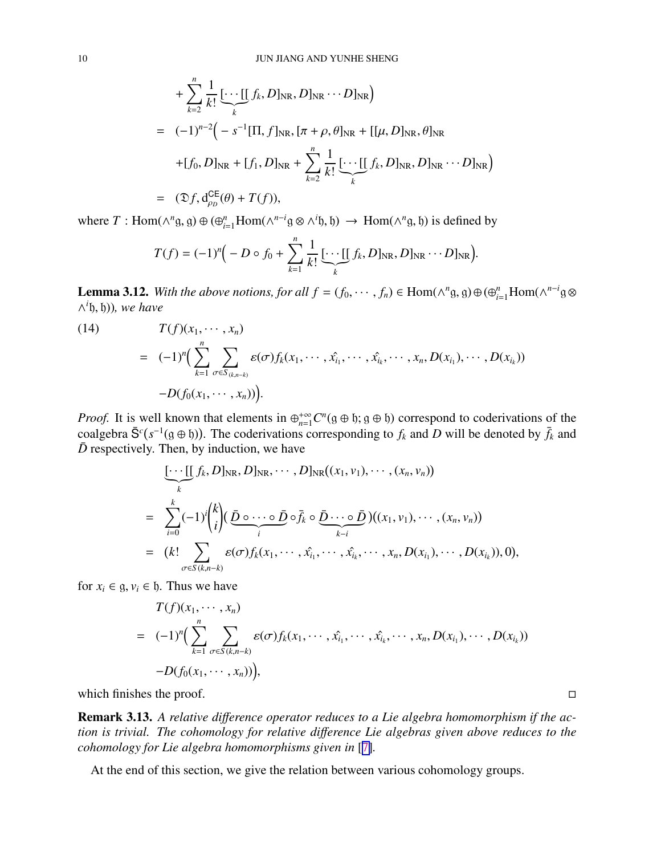<span id="page-9-0"></span>+ 
$$
\sum_{k=2}^{n} \frac{1}{k!} \underbrace{\left[\cdots\left[\left[f_k, D\right]_{NR}, D\right]_{NR} \cdots D\right]_{NR}}_{k}
$$
\n= 
$$
(-1)^{n-2} \Big(-s^{-1}[\Pi, f]_{NR}, [\pi + \rho, \theta]_{NR} + [[\mu, D]_{NR}, \theta]_{NR}
$$
\n+
$$
[f_0, D]_{NR} + [f_1, D]_{NR} + \sum_{k=2}^{n} \frac{1}{k!} \underbrace{\left[\cdots\left[\left[f_k, D\right]_{NR}, D\right]_{NR} \cdots D\right]_{NR}}_{k}
$$
\n= 
$$
(\mathfrak{D}f, d_{\rho_D}^{CE}(\theta) + T(f)),
$$

where  $T: \text{Hom}(\wedge^n g, g) \oplus (\bigoplus_{i=1}^n \text{Hom}(\wedge^{n-i} g \otimes \wedge^i \mathfrak{h}, \mathfrak{h}) \rightarrow \text{Hom}(\wedge^n g, \mathfrak{h})$  is defined by

$$
T(f) = (-1)^n \Big(-D \circ f_0 + \sum_{k=1}^n \frac{1}{k!} \underbrace{[\cdots[[} f_k, D]_{\text{NR}}, D]_{\text{NR}} \cdots D]_{\text{NR}}\Big).
$$

**Lemma 3.12.** With the above notions, for all  $f = (f_0, \dots, f_n) \in \text{Hom}(\wedge^n g, g) \oplus (\bigoplus_{i=1}^n \text{Hom}(\wedge^{n-i} g \otimes g_i) \otimes (g_i)$ ∧ *i* h, h))*, we have*

(14)  
\n
$$
T(f)(x_1, \dots, x_n)
$$
\n
$$
= (-1)^n \Big( \sum_{k=1}^n \sum_{\sigma \in S_{(k,n-k)}} \varepsilon(\sigma) f_k(x_1, \dots, \hat{x_i}, \dots, \hat{x_k}, \dots, x_n, D(x_{i_1}), \dots, D(x_{i_k})) -D(f_0(x_1, \dots, x_n)) \Big).
$$

*Proof.* It is well known that elements in  $\bigoplus_{n=1}^{+\infty} C^n(g \oplus \mathfrak{h}; g \oplus \mathfrak{h})$  correspond to coderivations of the coalgebra  $\bar{S}^c(s^{-1}(g \oplus b))$ . The coderivations corresponding to  $f_k$  and *D* will be denoted by  $\bar{f}_k$  and  $\bar{D}$  respectively. Then, by induction, we have

$$
\underbrace{[\cdots [[f_k, D]_{NR}, D]_{NR}, \cdots, D]_{NR}((x_1, v_1), \cdots, (x_n, v_n))}_{k}
$$
\n
$$
= \sum_{i=0}^{k} (-1)^i {k \choose i} (\underbrace{\bar{D} \circ \cdots \circ \bar{D}}_{i} \circ \overline{f}_k \circ \underbrace{\bar{D} \cdots \circ \bar{D}}_{k-i})((x_1, v_1), \cdots, (x_n, v_n))
$$
\n
$$
= (k! \sum_{\sigma \in S(k, n-k)} \varepsilon(\sigma) f_k(x_1, \cdots, \hat{x_{i_1}}, \cdots, \hat{x_{i_k}}, \cdots, x_n, D(x_{i_1}), \cdots, D(x_{i_k})), 0),
$$

for  $x_i \in \mathfrak{g}, v_i \in \mathfrak{h}$ . Thus we have

$$
T(f)(x_1, \dots, x_n)
$$
  
=  $(-1)^n \Big( \sum_{k=1}^n \sum_{\sigma \in S(k, n-k)} \varepsilon(\sigma) f_k(x_1, \dots, \hat{x_{i_1}}, \dots, \hat{x_{i_k}}, \dots, x_n, D(x_{i_1}), \dots, D(x_{i_k})) -D(f_0(x_1, \dots, x_n)) \Big),$ 

which finishes the proof.  $\Box$ 

Remark 3.13. *A relative di*ff*erence operator reduces to a Lie algebra homomorphism if the action is trivial. The cohomology for relative di*ff*erence Lie algebras given above reduces to the cohomology for Lie algebra homomorphisms given in* [[7\]](#page-20-0)*.*

At the end of this section, we give the relation between various cohomology groups.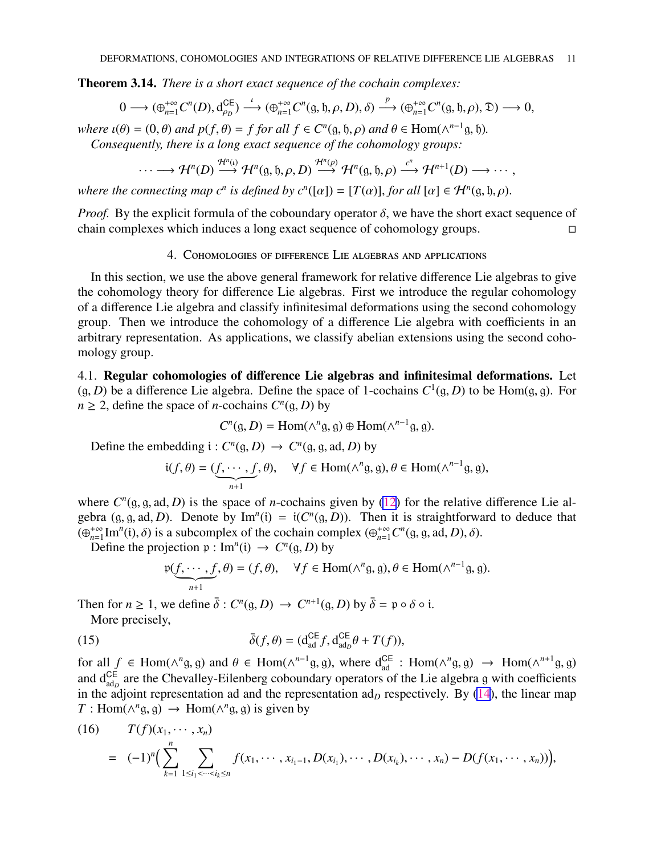<span id="page-10-0"></span>Theorem 3.14. *There is a short exact sequence of the cochain complexes:*

$$
0 \longrightarrow (\oplus_{n=1}^{+\infty} C^n(D), d_{\rho_D}^{CE}) \stackrel{\iota}{\longrightarrow} (\oplus_{n=1}^{+\infty} C^n(g, \mathfrak{h}, \rho, D), \delta) \stackrel{p}{\longrightarrow} (\oplus_{n=1}^{+\infty} C^n(g, \mathfrak{h}, \rho), \mathfrak{D}) \longrightarrow 0,
$$

*where*  $\iota(\theta) = (0, \theta)$  *and*  $p(f, \theta) = f$  *for all*  $f \in C^n(\mathfrak{g}, \mathfrak{h}, \rho)$  *and*  $\theta \in \text{Hom}(\wedge^{n-1} \mathfrak{g}, \mathfrak{h})$ *. Consequently, there is a long exact sequence of the cohomology groups:*

$$
\cdots \longrightarrow \mathcal{H}^n(D) \stackrel{\mathcal{H}^n(i)}{\longrightarrow} \mathcal{H}^n(g, \mathfrak{h}, \rho, D) \stackrel{\mathcal{H}^n(p)}{\longrightarrow} \mathcal{H}^n(g, \mathfrak{h}, \rho) \stackrel{c^n}{\longrightarrow} \mathcal{H}^{n+1}(D) \longrightarrow \cdots,
$$

*where the connecting map c<sup>n</sup> is defined by*  $c^n([a]) = [T(\alpha)]$ *, <i>for all*  $[\alpha] \in \mathcal{H}^n(\mathfrak{g}, \mathfrak{h}, \rho)$ .

*Proof.* By the explicit formula of the coboundary operator  $\delta$ , we have the short exact sequence of chain complexes which induces a long exact sequence of cohomology groups.

# 4. Cohomologies of difference Lie algebras and applications

In this section, we use the above general framework for relative difference Lie algebras to give the cohomology theory for difference Lie algebras. First we introduce the regular cohomology of a difference Lie algebra and classify infinitesimal deformations using the second cohomology group. Then we introduce the cohomology of a difference Lie algebra with coefficients in an arbitrary representation. As applications, we classify abelian extensions using the second cohomology group.

4.1. Regular cohomologies of difference Lie algebras and infinitesimal deformations. Let  $(g, D)$  be a difference Lie algebra. Define the space of 1-cochains  $C^1(g, D)$  to be Hom $(g, g)$ . For  $n \geq 2$ , define the space of *n*-cochains  $C^n(g, D)$  by

 $C^n$ (g, *D*) = Hom( $\wedge^n$ g, g) ⊕ Hom( $\wedge^{n-1}$ g, g).

Define the embedding  $i: C^n(g, D) \to C^n(g, g, ad, D)$  by

$$
i(f, \theta) = (\underbrace{f, \cdots, f}_{n+1}, \theta), \quad \forall f \in \text{Hom}(\wedge^n g, g), \theta \in \text{Hom}(\wedge^{n-1} g, g),
$$

where  $C^n(g, g, ad, D)$  is the space of *n*-cochains given by [\(12](#page-8-0)) for the relative difference Lie algebra (g, g, ad, D). Denote by Im<sup>n</sup>(i) = i( $C^n(g, D)$ ). Then it is straightforward to deduce that  $\check{(\bigoplus_{n=1}^{+\infty}]}$  $\lim_{n=1}^{+\infty}$  Im<sup>n</sup>(i),  $\delta$ ) is a subcomplex of the cochain complex ( $\bigoplus_{n=1}^{+\infty} C^n$ (g, g, ad, *D*),  $\delta$ ).

Define the projection  $p: Im^n(i) \rightarrow C^n(g, D)$  by

$$
\mathfrak{p}(\underbrace{f,\cdots,f}_{n+1},\theta)=(f,\theta),\quad \forall f\in \text{Hom}(\wedge^n\mathfrak{g},\mathfrak{g}),\theta\in \text{Hom}(\wedge^{n-1}\mathfrak{g},\mathfrak{g}).
$$

Then for  $n \ge 1$ , we define  $\bar{\delta}: C^n(\mathfrak{g}, D) \to C^{n+1}(\mathfrak{g}, D)$  by  $\bar{\delta} = \mathfrak{p} \circ \delta \circ \mathfrak{i}$ .

More precisely,

(15) 
$$
\bar{\delta}(f,\theta) = (\mathbf{d}_{\text{ad}}^{\text{CE}} f, \mathbf{d}_{\text{ad}_D}^{\text{CE}} \theta + T(f)),
$$

for all  $f \in \text{Hom}(\wedge^n g, g)$  and  $\theta \in \text{Hom}(\wedge^{n-1} g, g)$ , where  $d_{ad}^{\text{CE}}$ :  $\text{Hom}(\wedge^n g, g) \to \text{Hom}(\wedge^{n+1} g, g)$ and d<sup>CE</sup> are the Chevalley-Eilenberg coboundary operators of the Lie algebra g with coefficients in the adjoint representation ad and the representation  $ad<sub>D</sub>$  respectively. By [\(14](#page-9-0)), the linear map  $T:$  Hom( $\wedge^n$ g, g)  $\rightarrow$  Hom( $\wedge^n$ g, g) is given by

(16) 
$$
T(f)(x_1, \dots, x_n) = (-1)^n \Big( \sum_{k=1}^n \sum_{1 \le i_1 < \dots < i_k \le n} f(x_1, \dots, x_{i_1-1}, D(x_{i_1}), \dots, D(x_{i_k}), \dots, x_n) - D(f(x_1, \dots, x_n)) \Big),
$$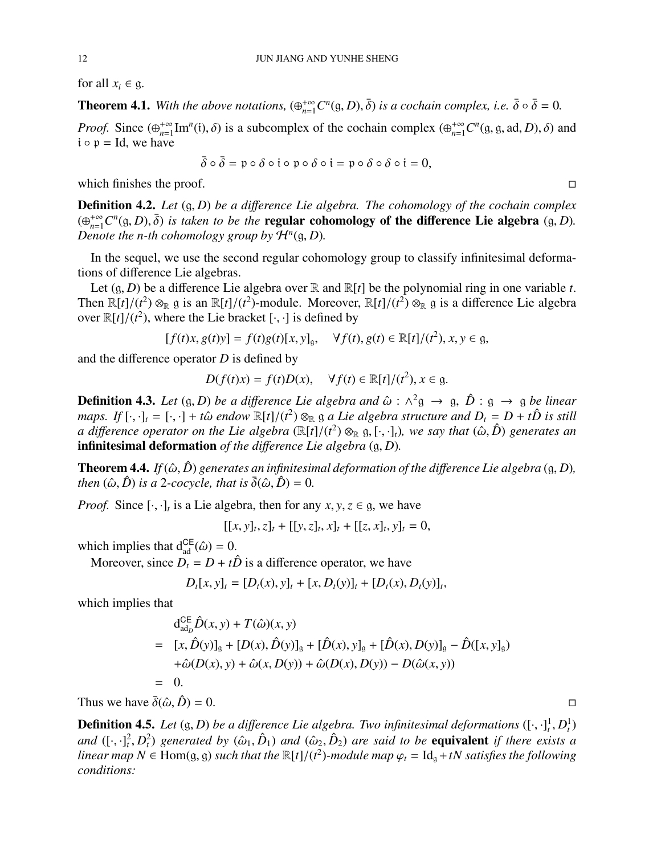<span id="page-11-0"></span>for all  $x_i \in \mathfrak{g}$ .

**Theorem 4.1.** With the above notations,  $(\bigoplus_{n=1}^{+\infty} C^n(\mathfrak{g}, D), \bar{\delta})$  is a cochain complex, i.e.  $\bar{\delta} \circ \bar{\delta} = 0$ .

*Proof.* Since  $(\bigoplus_{n=1}^{+\infty}$  $lim_{n=1}^{+\infty} Im^{n}(i), \delta$  is a subcomplex of the cochain complex  $(\bigoplus_{n=1}^{+\infty} C^{n}(g, g, ad, D), \delta)$  and  $i \circ p = Id$ , we have

$$
\overline{\delta}\circ\overline{\delta}=\mathfrak{p}\circ\delta\circ\mathfrak{i}\circ\mathfrak{p}\circ\delta\circ\mathfrak{i}=\mathfrak{p}\circ\delta\circ\delta\circ\mathfrak{i}=0,
$$

which finishes the proof.  $\Box$ 

**Definition 4.2.** Let  $(g, D)$  be a difference Lie algebra. The cohomology of the cochain complex  $(\bigoplus_{n=1}^{+\infty} C^n(g, D), \overline{\delta})$  *is taken to be the* **regular cohomology of the difference Lie algebra**  $(g, D)$ *. Denote the n-th cohomology group by*  $\mathcal{H}^n(\mathfrak{g}, D)$ *.* 

In the sequel, we use the second regular cohomology group to classify infinitesimal deformations of difference Lie algebras.

Let  $(g, D)$  be a difference Lie algebra over  $\mathbb R$  and  $\mathbb R[t]$  be the polynomial ring in one variable *t*. Then  $\mathbb{R}[t]/(t^2) \otimes_{\mathbb{R}} g$  is an  $\mathbb{R}[t]/(t^2)$ -module. Moreover,  $\mathbb{R}[t]/(t^2) \otimes_{\mathbb{R}} g$  is a difference Lie algebra over  $\mathbb{R}[t]/(t^2)$ , where the Lie bracket  $[\cdot, \cdot]$  is defined by

$$
[f(t)x, g(t)y] = f(t)g(t)[x, y]_g, \quad \forall f(t), g(t) \in \mathbb{R}[t]/(t^2), x, y \in g,
$$

and the difference operator *D* is defined by

$$
D(f(t)x) = f(t)D(x), \quad \forall f(t) \in \mathbb{R}[t]/(t^2), x \in \mathfrak{g}.
$$

**Definition 4.3.** Let  $(g, D)$  be a difference Lie algebra and  $\hat{\omega}$  :  $\wedge^2 g \to g$ ,  $\hat{D}$  :  $g \to g$  be linear *maps.* If  $[\cdot, \cdot]_t = [\cdot, \cdot] + t\hat{\omega}$  endow  $\mathbb{R}[t]/(t^2) \otimes_{\mathbb{R}} \mathfrak{g}$  a Lie algebra structure and  $D_t = D + t\hat{D}$  is still *a* difference operator on the Lie algebra  $(\mathbb{R}[t]/(t^2) \otimes_{\mathbb{R}} \mathfrak{g}, [\cdot,\cdot]_t)$ , we say that  $(\hat{\omega}, \hat{D})$  generates an infinitesimal deformation *of the di*ff*erence Lie algebra* (g, *D*)*.*

**Theorem 4.4.** *If* ( $\hat{\omega}$ ,  $\hat{D}$ ) generates an infinitesimal deformation of the difference Lie algebra (g, D), *then*  $(\hat{\omega}, \hat{D})$  *is a* 2*-cocycle, that is*  $\bar{\delta}(\hat{\omega}, \hat{D}) = 0$ *.* 

*Proof.* Since  $[\cdot, \cdot]_t$  is a Lie algebra, then for any  $x, y, z \in \mathfrak{g}$ , we have

 $[[x, y]_t, z]_t + [[y, z]_t, x]_t + [[z, x]_t, y]_t = 0,$ 

which implies that  $d_{ad}^{CE}(\hat{\omega}) = 0$ .

Moreover, since  $D_t = D + t\hat{D}$  is a difference operator, we have

$$
D_t[x, y]_t = [D_t(x), y]_t + [x, D_t(y)]_t + [D_t(x), D_t(y)]_t,
$$

which implies that

$$
d_{\text{ad}_{D}}^{CE} \hat{D}(x, y) + T(\hat{\omega})(x, y)
$$
  
=  $[x, \hat{D}(y)]_{g} + [D(x), \hat{D}(y)]_{g} + [\hat{D}(x), y]_{g} + [\hat{D}(x), D(y)]_{g} - \hat{D}([x, y]_{g})$   
+ $\hat{\omega}(D(x), y) + \hat{\omega}(x, D(y)) + \hat{\omega}(D(x), D(y)) - D(\hat{\omega}(x, y))$   
= 0.

Thus we have  $\bar{\delta}(\hat{\omega}, \hat{D}) = 0$ .

**Definition 4.5.** Let  $(g, D)$  be a difference Lie algebra. Two infinitesimal deformations  $([\cdot, \cdot]_t^1, D_t^1)$ *and*  $([\cdot,\cdot]^2_t, D^2_t)$  generated by  $(\hat{\omega}_1, \hat{D}_1)$  and  $(\hat{\omega}_2, \hat{D}_2)$  are said to be **equivalent** if there exists a *linear map*  $N \in$  Hom(g, g) *such that the* ℝ[*t*]/(*t*<sup>2</sup>)-module map  $\varphi_t = \text{Id}_g + tN$  *satisfies the following conditions:*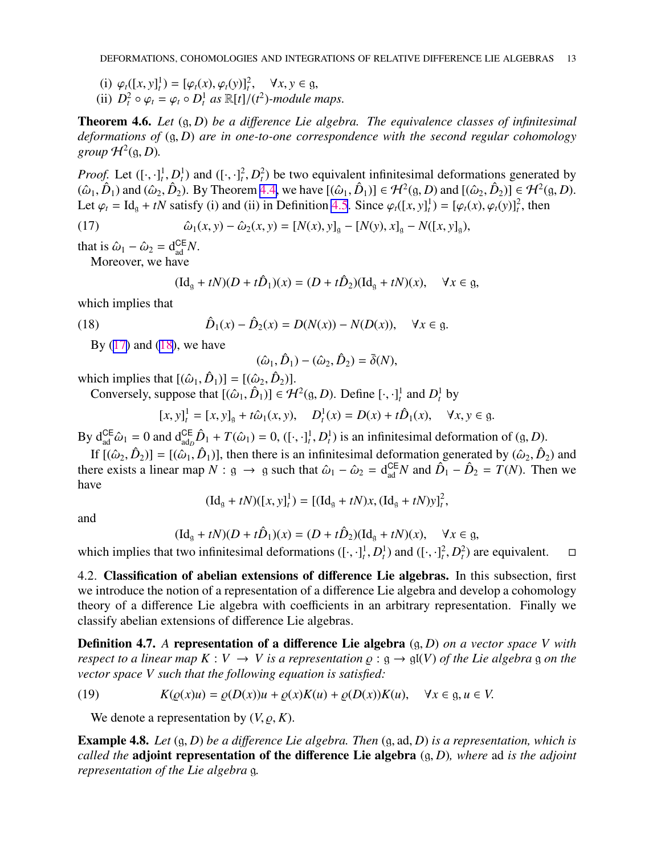- <span id="page-12-0"></span>(i)  $\varphi_t([x, y]_t^1) = [\varphi_t(x), \varphi_t(y)]_t^2, \quad \forall x, y \in \mathfrak{g},$
- (ii)  $D_t^2 \circ \varphi_t = \varphi_t \circ D_t^1$  as  $\mathbb{R}[t]/(t^2)$ -module maps.

Theorem 4.6. *Let* (g, *D*) *be a di*ff*erence Lie algebra. The equivalence classes of infinitesimal deformations of* (g, *D*) *are in one-to-one correspondence with the second regular cohomology*  $group \mathcal{H}^2(\mathfrak{g}, D)$ .

*Proof.* Let  $([\cdot, \cdot]^1_t, D^1_t)$  and  $([\cdot, \cdot]^2_t, D^2_t)$  be two equivalent infinitesimal deformations generated by  $(\hat{\omega}_1, \hat{D}_1)$  and  $(\hat{\omega}_2, \hat{D}_2)$ . By Theorem [4.4,](#page-11-0) we have  $[(\hat{\omega}_1, \hat{D}_1)] \in \mathcal{H}^2(\mathfrak{g}, D)$  and  $[(\hat{\omega}_2, \hat{D}_2)] \in \mathcal{H}^2(\mathfrak{g}, D)$ . Let  $\varphi_t = \text{Id}_{\mathfrak{g}} + tN$  satisfy (i) and (ii) in Definition [4.5](#page-11-0). Since  $\varphi_t([x, y]^1_t) = [\varphi_t(x), \varphi_t(y)]^2_t$ , then

(17) 
$$
\hat{\omega}_1(x, y) - \hat{\omega}_2(x, y) = [N(x), y]_g - [N(y), x]_g - N([x, y]_g),
$$

that is  $\hat{\omega}_1 - \hat{\omega}_2 = d_{ad}^{\text{CE}} N$ .

Moreover, we have

$$
(\mathrm{Id}_{g} + tN)(D + t\hat{D}_{1})(x) = (D + t\hat{D}_{2})(\mathrm{Id}_{g} + tN)(x), \quad \forall x \in g,
$$

which implies that

(18) 
$$
\hat{D}_1(x) - \hat{D}_2(x) = D(N(x)) - N(D(x)), \quad \forall x \in \mathfrak{g}.
$$

By  $(17)$  and  $(18)$ , we have

$$
(\hat{\omega}_1,\hat{D}_1)-(\hat{\omega}_2,\hat{D}_2)=\bar{\delta}(N),
$$

which implies that  $[(\hat{\omega}_1, \hat{D}_1)] = [(\hat{\omega}_2, \hat{D}_2)].$ 

Conversely, suppose that  $[(\hat{\omega}_1, \hat{D}_1)] \in \mathcal{H}^2(\mathfrak{g}, D)$ . Define  $[\cdot, \cdot]_t^1$  and  $D_t^1$  by

$$
[x, y]_t^1 = [x, y]_g + t\hat{\omega}_1(x, y), \quad D_t^1(x) = D(x) + t\hat{D}_1(x), \quad \forall x, y \in g.
$$

By  $d_{ad}^{CE}\hat{\omega}_1 = 0$  and  $d_{adp}^{CE}\hat{D}_1 + T(\hat{\omega}_1) = 0$ ,  $([\cdot, \cdot]_t^1, D_t^1)$  is an infinitesimal deformation of  $(g, D)$ .

If  $[(\hat{\omega}_2, \hat{D}_2)] = [(\hat{\omega}_1, \hat{D}_1)]$ , then there is an infinitesimal deformation generated by  $(\hat{\omega}_2, \hat{D}_2)$  and there exists a linear map  $N : g \to g$  such that  $\hat{\omega}_1 - \hat{\omega}_2 = d_{ad}^{CE} N$  and  $\hat{D}_1 - \hat{D}_2 = T(N)$ . Then we have

$$
(\mathrm{Id}_{g} + tN)([x, y]_{t}^{1}) = [(\mathrm{Id}_{g} + tN)x, (\mathrm{Id}_{g} + tN)y]_{t}^{2},
$$

and

$$
(\mathrm{Id}_{\mathfrak{g}} + tN)(D + t\hat{D}_1)(x) = (D + t\hat{D}_2)(\mathrm{Id}_{\mathfrak{g}} + tN)(x), \quad \forall x \in \mathfrak{g},
$$

which implies that two infinitesimal deformations  $([\cdot, \cdot]^1_t, D_t^1)$  and  $([\cdot, \cdot]^2_t, D_t^2)$  are equivalent.  $\square$ 

4.2. Classification of abelian extensions of difference Lie algebras. In this subsection, first we introduce the notion of a representation of a difference Lie algebra and develop a cohomology theory of a difference Lie algebra with coefficients in an arbitrary representation. Finally we classify abelian extensions of difference Lie algebras.

Definition 4.7. *A* representation of a difference Lie algebra (g, *D*) *on a vector space V with respect to a linear map*  $K: V \to V$  *is a representation*  $\varrho : g \to gl(V)$  *of the Lie algebra* g *on the vector space V such that the following equation is satisfied:*

(19) 
$$
K(\varrho(x)u) = \varrho(D(x))u + \varrho(x)K(u) + \varrho(D(x))K(u), \quad \forall x \in \mathfrak{g}, u \in V.
$$

We denote a representation by  $(V, \rho, K)$ .

Example 4.8. *Let* (g, *D*) *be a di*ff*erence Lie algebra. Then* (g, ad, *D*) *is a representation, which is called the* adjoint representation of the difference Lie algebra (g, *D*)*, where* ad *is the adjoint representation of the Lie algebra* g*.*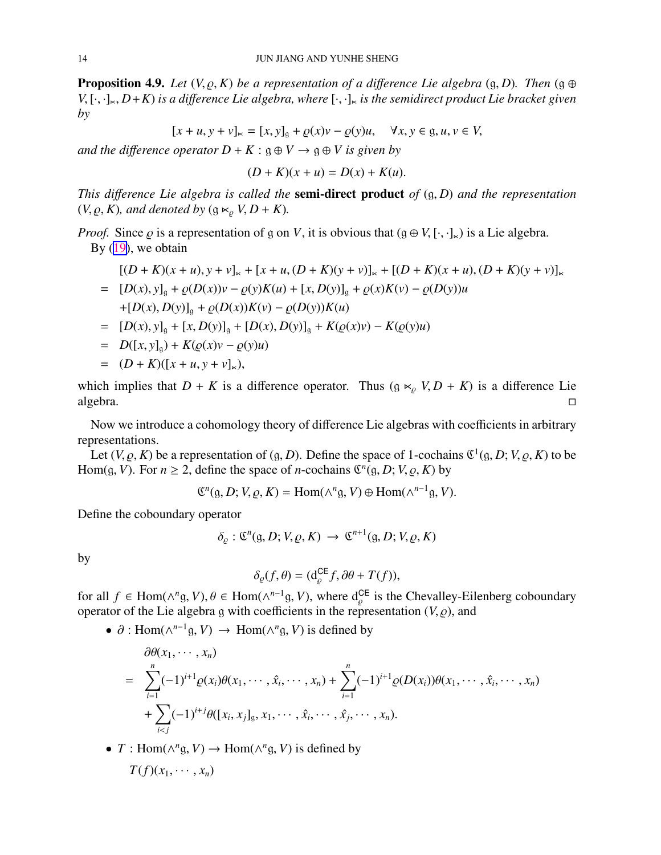<span id="page-13-0"></span>**Proposition 4.9.** *Let*  $(V, \rho, K)$  *be a representation of a difference Lie algebra*  $(g, D)$ *. Then*  $(g \oplus$  $V, [\cdot, \cdot]_{\times}, D+K$ ) *is a difference Lie algebra, where*  $[\cdot, \cdot]_{\times}$  *is the semidirect product Lie bracket given by*

$$
[x + u, y + v]_{\infty} = [x, y]_g + \varrho(x)v - \varrho(y)u, \quad \forall x, y \in g, u, v \in V,
$$

*and the difference operator*  $D + K : \mathfrak{g} \oplus V \rightarrow \mathfrak{g} \oplus V$  *is given by* 

$$
(D+K)(x+u) = D(x) + K(u).
$$

*This di*ff*erence Lie algebra is called the* semi-direct product *of* (g, *D*) *and the representation*  $(V, \rho, K)$ *, and denoted by*  $(g \ltimes_{\rho} V, D + K)$ *.* 

*Proof.* Since  $\varrho$  is a representation of g on *V*, it is obvious that  $(g \oplus V, [\cdot, \cdot]_{\ltimes})$  is a Lie algebra. By  $(19)$  $(19)$ , we obtain

$$
[(D + K)(x + u), y + v]_{\ltimes} + [x + u, (D + K)(y + v)]_{\ltimes} + [(D + K)(x + u), (D + K)(y + v)]_{\ltimes}
$$
  
= 
$$
[D(x), y]_g + \varrho(D(x))v - \varrho(y)K(u) + [x, D(y)]_g + \varrho(x)K(v) - \varrho(D(y))u
$$
  
+
$$
[D(x), D(y)]_g + \varrho(D(x))K(v) - \varrho(D(y))K(u)
$$
  
= 
$$
[D(x), y]_g + [x, D(y)]_g + [D(x), D(y)]_g + K(\varrho(x)v) - K(\varrho(y)u)
$$
  
= 
$$
D([x, y]_g) + K(\varrho(x)v - \varrho(y)u)
$$

$$
= (D + K)([x + u, y + v]_{\times}),
$$

which implies that  $D + K$  is a difference operator. Thus  $(g \ltimes_{\rho} V, D + K)$  is a difference Lie algebra. □

Now we introduce a cohomology theory of difference Lie algebras with coefficients in arbitrary representations.

Let  $(V, \rho, K)$  be a representation of  $(g, D)$ . Define the space of 1-cochains  $\mathfrak{C}^1(g, D; V, \rho, K)$  to be Hom(g, *V*). For  $n \ge 2$ , define the space of *n*-cochains  $\mathfrak{C}^n(g, D; V, \varrho, K)$  by

$$
\mathfrak{C}^n(\mathfrak{g}, D; V, \varrho, K) = \text{Hom}(\wedge^n \mathfrak{g}, V) \oplus \text{Hom}(\wedge^{n-1} \mathfrak{g}, V).
$$

Define the coboundary operator

$$
\delta_{\varrho} : \mathfrak{C}^n(\mathfrak{g}, D; V, \varrho, K) \to \mathfrak{C}^{n+1}(\mathfrak{g}, D; V, \varrho, K)
$$

by

$$
\delta_{\varrho}(f,\theta) = (\mathrm{d}_{\varrho}^{\mathsf{CE}} f, \partial \theta + T(f)),
$$

for all  $f \in \text{Hom}(\wedge^n g, V), \theta \in \text{Hom}(\wedge^{n-1} g, V)$ , where  $d_{\varrho}^{\text{CE}}$  is the Chevalley-Eilenberg coboundary operator of the Lie algebra g with coefficients in the representation  $(V, \rho)$ , and

•  $\partial$ : Hom( $\wedge^{n-1}$ g, *V*)  $\rightarrow$  Hom( $\wedge^n$ g, *V*) is defined by

$$
\partial \theta(x_1, \dots, x_n) = \sum_{i=1}^n (-1)^{i+1} \varrho(x_i) \theta(x_1, \dots, \hat{x}_i, \dots, x_n) + \sum_{i=1}^n (-1)^{i+1} \varrho(D(x_i)) \theta(x_1, \dots, \hat{x}_i, \dots, x_n) + \sum_{i < j} (-1)^{i+j} \theta([x_i, x_j]_g, x_1, \dots, \hat{x}_i, \dots, \hat{x}_j, \dots, x_n).
$$

•  $T: \text{Hom}(\wedge^n g, V) \to \text{Hom}(\wedge^n g, V)$  is defined by

$$
T(f)(x_1,\cdots,x_n)
$$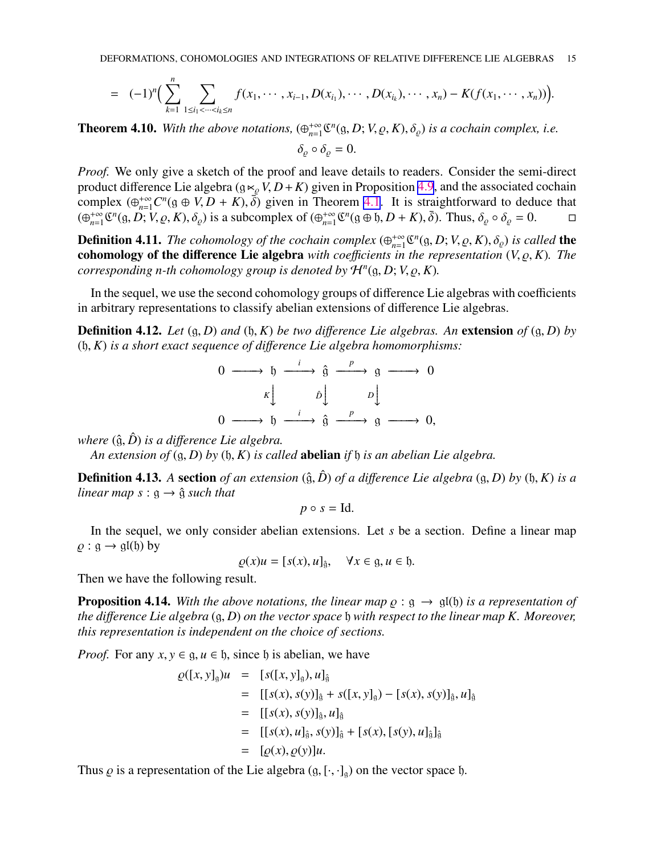$$
= (-1)^n \Big( \sum_{k=1}^n \sum_{1 \leq i_1 < \dots < i_k \leq n} f(x_1, \dots, x_{i-1}, D(x_{i_1}), \dots, D(x_{i_k}), \dots, x_n) - K(f(x_1, \dots, x_n)) \Big).
$$

**Theorem 4.10.** With the above notations,  $(\bigoplus_{n=1}^{+\infty} \mathbb{R}^n)$  $\int_{n=1}^{+\infty} \mathfrak{C}^n(\mathfrak{g}, D; V, \varrho, K), \delta_{\varrho})$  *is a cochain complex, i.e.*  $\delta_{\rho} \circ \delta_{\rho} = 0.$ 

*Proof.* We only give a sketch of the proof and leave details to readers. Consider the semi-direct product difference Lie algebra ( $g \ltimes_{\rho} V$ ,  $D + K$ ) given in Proposition [4.9](#page-13-0), and the associated cochain complex  $(\bigoplus_{n=1}^{+\infty} C^n(g \oplus V, D + K), \overline{\delta})$  given in Theorem [4.1](#page-11-0). It is straightforward to deduce that  $(\bigoplus_{n=1}^{+\infty}$  $lim_{n=1}^{+\infty}$   $\mathfrak{C}^n(\mathfrak{g}, D; V, \varrho, K), \delta_{\varrho})$  is a subcomplex of  $(\bigoplus_{n=1}^{+\infty}$  $\lim_{n=1}^{+\infty} \mathfrak{C}^n(\mathfrak{g} \oplus \mathfrak{h}, D + K), \bar{\delta}$ . Thus,  $\delta_{\varrho} \circ \delta_{\varrho} = 0.$ 

**Definition 4.11.** *The cohomology of the cochain complex*  $(\bigoplus_{n=1}^{+\infty}$  $\int_{n=1}^{+\infty} \mathfrak{C}^n(\mathfrak{g}, D; V, \varrho, K), \delta_{\varrho})$  *is called* the cohomology of the difference Lie algebra *with coefficients in the representation*  $(V, \rho, K)$ *. The corresponding n-th cohomology group is denoted by* H*<sup>n</sup>* (g, *D*; *V*, ̺, *K*)*.*

In the sequel, we use the second cohomology groups of difference Lie algebras with coefficients in arbitrary representations to classify abelian extensions of difference Lie algebras.

**Definition 4.12.** Let  $(g, D)$  and  $(b, K)$  be two difference Lie algebras. An extension of  $(g, D)$  by (h, *K*) *is a short exact sequence of di*ff*erence Lie algebra homomorphisms:*

$$
\begin{array}{ccc}\n0 & \longrightarrow & \mathfrak{h} & \xrightarrow{i} & \hat{\mathfrak{g}} & \xrightarrow{p} & \mathfrak{g} & \longrightarrow 0 \\
\downarrow & & \mathfrak{h} & & \mathfrak{p} & \\
0 & \longrightarrow & \mathfrak{h} & \xrightarrow{i} & \hat{\mathfrak{g}} & \xrightarrow{p} & \mathfrak{g} & \longrightarrow 0,\n\end{array}
$$

*where*  $(\hat{g}, \hat{D})$  *is a difference Lie algebra.* 

*An extension of* (g, *D*) *by* (h, *K*) *is called* abelian *if* h *is an abelian Lie algebra.*

**Definition 4.13.** A section of an extension  $(\hat{g}, \hat{D})$  of a difference Lie algebra  $(g, D)$  by  $(h, K)$  is a *linear map*  $s : g \rightarrow \hat{g}$  *such that* 

$$
p \circ s = \mathrm{Id}.
$$

In the sequel, we only consider abelian extensions. Let *s* be a section. Define a linear map  $\rho : \mathfrak{g} \to \mathfrak{gl}(\mathfrak{h})$  by

$$
\varrho(x)u = [s(x), u]_{\hat{\mathfrak{g}}}, \quad \forall x \in \mathfrak{g}, u \in \mathfrak{h}.
$$

Then we have the following result.

**Proposition 4.14.** With the above notations, the linear map  $\rho : g \to g(f)$  is a representation of *the di*ff*erence Lie algebra* (g, *D*) *on the vector space* h *with respect to the linear map K. Moreover, this representation is independent on the choice of sections.*

*Proof.* For any  $x, y \in \mathfrak{g}, u \in \mathfrak{h}$ , since  $\mathfrak{h}$  is abelian, we have

$$
\varrho([x, y]_9)u = [s([x, y]_9), u]_9
$$
  
\n
$$
= [[s(x), s(y)]_9 + s([x, y]_9) - [s(x), s(y)]_9, u]_9
$$
  
\n
$$
= [[s(x), s(y)]_9, u]_9
$$
  
\n
$$
= [[s(x), u]_9, s(y)]_9 + [s(x), [s(y), u]_9]_9
$$
  
\n
$$
= [\varrho(x), \varrho(y)]u.
$$

Thus  $\rho$  is a representation of the Lie algebra  $(g, [\cdot, \cdot]_g)$  on the vector space  $\mathfrak h$ .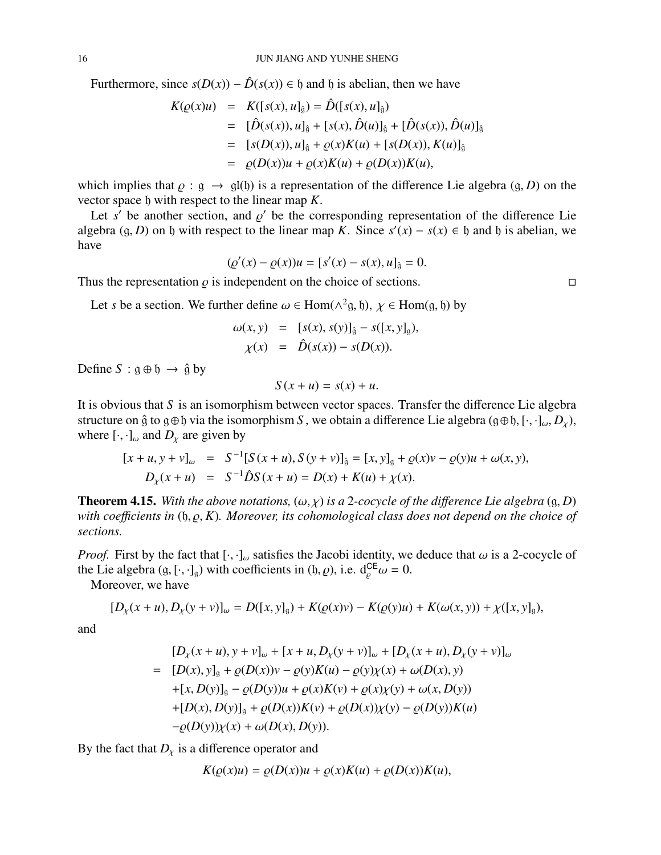<span id="page-15-0"></span>Furthermore, since  $s(D(x)) - \hat{D}(s(x)) \in \mathfrak{h}$  and  $\mathfrak{h}$  is abelian, then we have

$$
K(\rho(x)u) = K([s(x), u]_{\hat{g}}) = \hat{D}([s(x), u]_{\hat{g}})
$$
  
\n
$$
= [\hat{D}(s(x)), u]_{\hat{g}} + [s(x), \hat{D}(u)]_{\hat{g}} + [\hat{D}(s(x)), \hat{D}(u)]_{\hat{g}}
$$
  
\n
$$
= [s(D(x)), u]_{\hat{g}} + \rho(x)K(u) + [s(D(x)), K(u)]_{\hat{g}}
$$
  
\n
$$
= \rho(D(x))u + \rho(x)K(u) + \rho(D(x))K(u),
$$

which implies that  $\rho : g \to gl(b)$  is a representation of the difference Lie algebra  $(g, D)$  on the vector space h with respect to the linear map *K*.

Let  $s'$  be another section, and  $\varrho'$  be the corresponding representation of the difference Lie algebra  $(g, D)$  on h with respect to the linear map *K*. Since  $s'(x) - s(x) \in h$  and h is abelian, we have

$$
(\varrho'(x) - \varrho(x))u = [s'(x) - s(x), u]_{\hat{\mathfrak{g}}} = 0.
$$

Thus the representation  $\rho$  is independent on the choice of sections.

Let *s* be a section. We further define  $\omega \in \text{Hom}(\wedge^2 \mathfrak{g}, \mathfrak{h}), \chi \in \text{Hom}(\mathfrak{g}, \mathfrak{h})$  by

$$
\omega(x, y) = [s(x), s(y)]_{\hat{g}} - s([x, y]_g), \n\chi(x) = \hat{D}(s(x)) - s(D(x)).
$$

Define  $S : \mathfrak{g} \oplus \mathfrak{h} \rightarrow \hat{\mathfrak{g}}$  by

$$
S(x+u) = s(x) + u.
$$

It is obvious that *S* is an isomorphism between vector spaces. Transfer the difference Lie algebra structure on  $\hat{g}$  to  $g \oplus b$  via the isomorphism *S*, we obtain a difference Lie algebra  $(g \oplus b, [\cdot, \cdot]_{\omega}, D_{\chi})$ , where  $[\cdot, \cdot]_{\omega}$  and  $D_{\chi}$  are given by

$$
[x+u, y+v]_{\omega} = S^{-1}[S(x+u), S(y+v)]_{\hat{g}} = [x, y]_{g} + \varrho(x)v - \varrho(y)u + \omega(x, y),
$$
  

$$
D_{\chi}(x+u) = S^{-1}\hat{D}S(x+u) = D(x) + K(u) + \chi(x).
$$

**Theorem 4.15.** With the above notations,  $(\omega, \chi)$  is a 2-cocycle of the difference Lie algebra  $(g, D)$ *with coe*ffi*cients in* (h, ̺, *K*)*. Moreover, its cohomological class does not depend on the choice of sections.*

*Proof.* First by the fact that  $[\cdot, \cdot]_{\omega}$  satisfies the Jacobi identity, we deduce that  $\omega$  is a 2-cocycle of the Lie algebra  $(g, [\cdot, \cdot]_g)$  with coefficients in  $(h, \rho)$ , i.e.  $d_{\rho}^{\text{CE}} \omega = 0$ .

Moreover, we have

$$
[D_{\chi}(x+u), D_{\chi}(y+v)]_{\omega} = D([x,y]_{g}) + K(\varrho(x)v) - K(\varrho(y)u) + K(\omega(x,y)) + \chi([x,y]_{g}),
$$

and

$$
[D_x(x+u), y+v]_{\omega} + [x+u, D_x(y+v)]_{\omega} + [D_x(x+u), D_x(y+v)]_{\omega}
$$
  
= 
$$
[D(x), y]_g + \varrho(D(x))v - \varrho(y)K(u) - \varrho(y)\chi(x) + \omega(D(x), y)
$$
  
+
$$
[x, D(y)]_g - \varrho(D(y))u + \varrho(x)K(v) + \varrho(x)\chi(y) + \omega(x, D(y))
$$
  
+
$$
[D(x), D(y)]_g + \varrho(D(x))K(v) + \varrho(D(x))\chi(y) - \varrho(D(y))K(u)
$$
  
-
$$
\varrho(D(y))\chi(x) + \omega(D(x), D(y)).
$$

By the fact that  $D<sub>x</sub>$  is a difference operator and

$$
K(\varrho(x)u) = \varrho(D(x))u + \varrho(x)K(u) + \varrho(D(x))K(u),
$$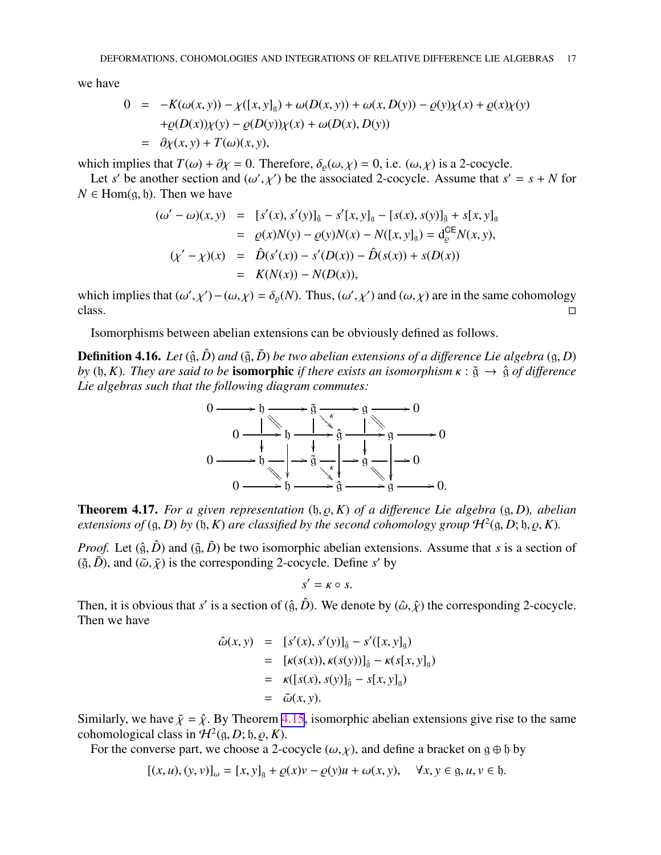<span id="page-16-0"></span>we have

$$
0 = -K(\omega(x, y)) - \chi([x, y]_g) + \omega(D(x, y)) + \omega(x, D(y)) - \varrho(y)\chi(x) + \varrho(x)\chi(y) + \varrho(D(x))\chi(y) - \varrho(D(y))\chi(x) + \omega(D(x), D(y)) = \partial \chi(x, y) + T(\omega)(x, y),
$$

which implies that  $T(\omega) + \partial \chi = 0$ . Therefore,  $\delta_{\rho}(\omega, \chi) = 0$ , i.e.  $(\omega, \chi)$  is a 2-cocycle.

Let *s'* be another section and  $(\omega', \chi')$  be the associated 2-cocycle. Assume that  $s' = s + N$  for  $N \in$  Hom(g, b). Then we have

$$
(\omega' - \omega)(x, y) = [s'(x), s'(y)]_{\hat{g}} - s'[x, y]_{g} - [s(x), s(y)]_{\hat{g}} + s[x, y]_{g}
$$
  
\n
$$
= \varrho(x)N(y) - \varrho(y)N(x) - N([x, y]_{g}) = d_{\varrho}^{CE}N(x, y),
$$
  
\n
$$
(\chi' - \chi)(x) = \hat{D}(s'(x)) - s'(D(x)) - \hat{D}(s(x)) + s(D(x))
$$
  
\n
$$
= K(N(x)) - N(D(x)),
$$

which implies that  $(\omega', \chi') - (\omega, \chi) = \delta_{\varrho}(N)$ . Thus,  $(\omega', \chi')$  and  $(\omega, \chi)$  are in the same cohomology  $\sum$ 

Isomorphisms between abelian extensions can be obviously defined as follows.

**Definition 4.16.** *Let*  $(\hat{g}, \hat{D})$  *and*  $(\tilde{g}, \tilde{D})$  *be two abelian extensions of a difference Lie algebra*  $(g, D)$ *by* ( $\mathfrak{h}, K$ ). They are said to be **isomorphic** *if there exists an isomorphism*  $\kappa : \tilde{\mathfrak{g}} \to \hat{\mathfrak{g}}$  *of difference Lie algebras such that the following diagram commutes:*



Theorem 4.17. *For a given representation* (h, ̺, *K*) *of a di*ff*erence Lie algebra* (g, *D*)*, abelian extensions of* (g, *D*) *by* (h, *K*) *are classified by the second cohomology group*  $\mathcal{H}^2(\mathfrak{g}, D; \mathfrak{h}, \varrho, K)$ .

*Proof.* Let  $(\hat{g}, \hat{D})$  and  $(\tilde{g}, \tilde{D})$  be two isomorphic abelian extensions. Assume that *s* is a section of  $(\tilde{g}, \tilde{D})$ , and  $(\tilde{\omega}, \tilde{\chi})$  is the corresponding 2-cocycle. Define *s'* by

$$
s' = \kappa \circ s.
$$

Then, it is obvious that *s'* is a section of  $(\hat{g}, \hat{D})$ . We denote by  $(\hat{\omega}, \hat{\chi})$  the corresponding 2-cocycle. Then we have

$$
\hat{\omega}(x, y) = [s'(x), s'(y)]_{\tilde{g}} - s'([x, y]_g)
$$
  
\n
$$
= [k(s(x)), k(s(y))]_{\tilde{g}} - k(s[x, y]_g)
$$
  
\n
$$
= k([s(x), s(y)]_{\hat{g}} - s[x, y]_g)
$$
  
\n
$$
= \tilde{\omega}(x, y).
$$

Similarly, we have  $\tilde{\chi} = \hat{\chi}$ . By Theorem [4.15](#page-15-0), isomorphic abelian extensions give rise to the same cohomological class in  $\mathcal{H}^2(\mathfrak{g}, D; \mathfrak{h}, \varrho, K)$ .

For the converse part, we choose a 2-cocycle  $(\omega, \chi)$ , and define a bracket on g  $\oplus$  b by

 $[(x, u), (y, v)]_{\omega} = [x, y]_{\omega} + \varrho(x)v - \varrho(y)u + \omega(x, y), \quad \forall x, y \in \mathfrak{g}, u, v \in \mathfrak{h}.$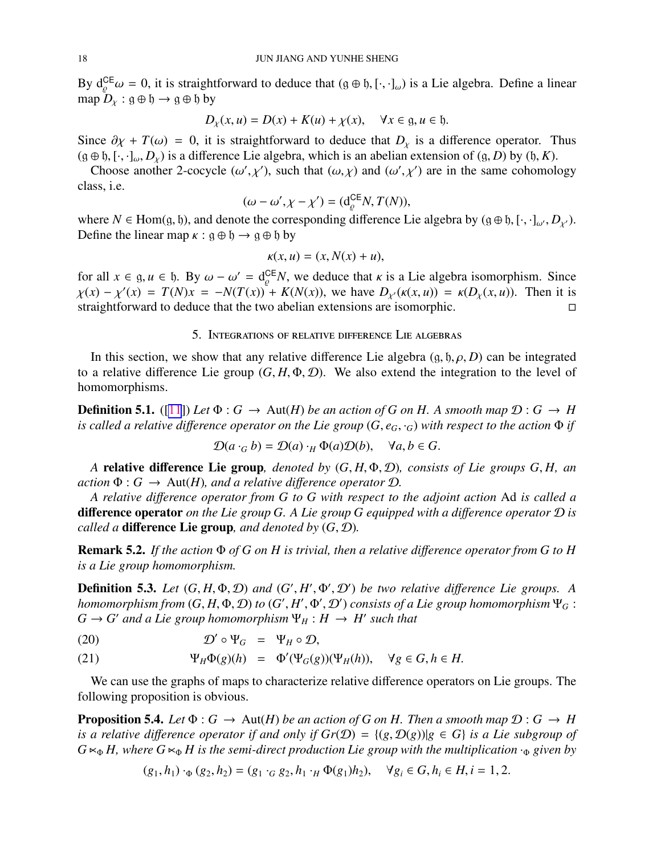<span id="page-17-0"></span>By  $d_{\varrho}^{CE}\omega = 0$ , it is straightforward to deduce that  $(g \oplus f, [\cdot, \cdot]_{\omega})$  is a Lie algebra. Define a linear map  $D_{\chi}$ :  $g \oplus b \rightarrow g \oplus b$  by

$$
D_{\chi}(x, u) = D(x) + K(u) + \chi(x), \quad \forall x \in \mathfrak{g}, u \in \mathfrak{h}.
$$

Since  $\partial \chi + T(\omega) = 0$ , it is straightforward to deduce that  $D_{\chi}$  is a difference operator. Thus  $(g \oplus b, [\cdot, \cdot]_{\omega}, D_{\chi})$  is a difference Lie algebra, which is an abelian extension of  $(g, D)$  by  $(b, K)$ .

Choose another 2-cocycle  $(\omega', \chi')$ , such that  $(\omega, \chi)$  and  $(\omega', \chi')$  are in the same cohomology class, i.e.

$$
(\omega - \omega', \chi - \chi') = (\mathrm{d}_{\varrho}^{\mathsf{CE}} N, T(N)),
$$

where  $N \in \text{Hom}(g, \mathfrak{h})$ , and denote the corresponding difference Lie algebra by  $(g \oplus \mathfrak{h}, [\cdot, \cdot]_{\omega}, D_{\chi'}).$ Define the linear map  $\kappa$ :  $g \oplus f \rightarrow g \oplus f$  by

$$
\kappa(x, u) = (x, N(x) + u),
$$

for all  $x \in \mathfrak{g}, u \in \mathfrak{h}$ . By  $\omega - \omega' = d_e^{\text{CE}} N$ , we deduce that  $\kappa$  is a Lie algebra isomorphism. Since  $\chi(x) - \chi'(x) = T(N)x = -N(T(x)) + K(N(x))$ , we have  $D_{\chi'}(\kappa(x, u)) = \kappa(D_{\chi}(x, u))$ . Then it is straightforward to deduce that the two abelian extensions are isomorphic.

## 5. Integrations of relative difference Lie algebras

In this section, we show that any relative difference Lie algebra  $(g, \mathfrak{h}, \rho, D)$  can be integrated to a relative difference Lie group  $(G, H, \Phi, \mathcal{D})$ . We also extend the integration to the level of homomorphisms.

**Definition 5.1.** ([\[11](#page-20-0)]) Let  $\Phi$  :  $G \to \text{Aut}(H)$  be an action of G on H. A smooth map  $\mathcal{D}: G \to H$ *is called a relative difference operator on the Lie group*  $(G, e_G, \cdot_G)$  *with respect to the action*  $\Phi$  *if* 

$$
\mathcal{D}(a \cdot_G b) = \mathcal{D}(a) \cdot_H \Phi(a) \mathcal{D}(b), \quad \forall a, b \in G.
$$

*A* relative difference Lie group*, denoted by* (*G*, *H*, Φ, D)*, consists of Lie groups G*, *H, an action*  $\Phi: G \to \text{Aut}(H)$ *, and a relative difference operator*  $\mathcal{D}$ *.* 

*A relative di*ff*erence operator from G to G with respect to the adjoint action* Ad *is called a* difference operator *on the Lie group G. A Lie group G equipped with a di*ff*erence operator* D *is called a* difference Lie group*, and denoted by* (*G*, D)*.*

Remark 5.2. *If the action* Φ *of G on H is trivial, then a relative di*ff*erence operator from G to H is a Lie group homomorphism.*

**Definition 5.3.** Let  $(G, H, \Phi, \mathcal{D})$  and  $(G', H', \Phi', \mathcal{D}')$  be two relative difference Lie groups. A *homomorphism from*  $(G, H, \Phi, \mathcal{D})$  *to*  $(G', H', \Phi', \mathcal{D}')$  *consists of a Lie group homomorphism*  $\Psi_G$  :  $G \to G'$  *and a Lie group homomorphism*  $\Psi_H : H \to H'$  *such that* 

(20) 
$$
\mathcal{D}' \circ \Psi_G = \Psi_H \circ \mathcal{D},
$$

(21) 
$$
\Psi_H \Phi(g)(h) = \Phi'(\Psi_G(g))(\Psi_H(h)), \quad \forall g \in G, h \in H.
$$

We can use the graphs of maps to characterize relative difference operators on Lie groups. The following proposition is obvious.

**Proposition 5.4.** *Let*  $\Phi$  :  $G \to \text{Aut}(H)$  *be an action of G on H. Then a smooth map*  $\mathcal{D}: G \to H$ *is a relative difference operator if and only if*  $Gr(\mathcal{D}) = \{(g, \mathcal{D}(g)) | g \in G\}$  *<i>is a Lie subgroup of*  $G \ltimes_{\Phi} H$ , where  $G \ltimes_{\Phi} H$  is the semi-direct production Lie group with the multiplication  $\cdot_{\Phi}$  given by

$$
(g_1, h_1) \cdot_{\Phi} (g_2, h_2) = (g_1 \cdot_G g_2, h_1 \cdot_H \Phi(g_1) h_2), \quad \forall g_i \in G, h_i \in H, i = 1, 2.
$$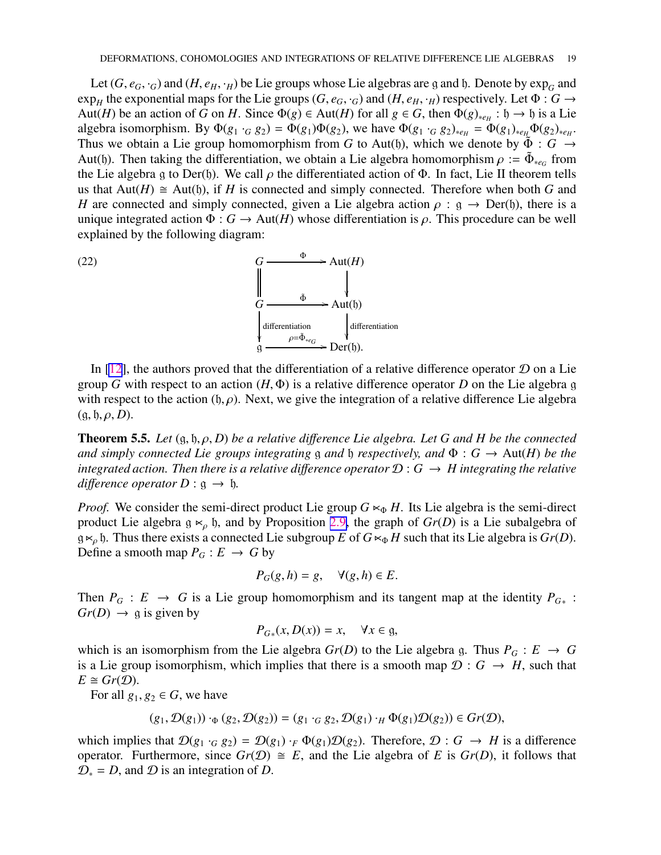<span id="page-18-0"></span>Let  $(G, e_G, \cdot_G)$  and  $(H, e_H, \cdot_H)$  be Lie groups whose Lie algebras are g and b. Denote by  $\exp_G$  and  $\exp_H$  the exponential maps for the Lie groups (*G*, *e<sub>G</sub>*, ·*G*) and (*H*, *e<sub>H</sub>*, ·*H*) respectively. Let  $\Phi: G \to G$ Aut(*H*) be an action of *G* on *H*. Since  $\Phi(g) \in \text{Aut}(H)$  for all  $g \in G$ , then  $\Phi(g)_{*e_H} : \mathfrak{h} \to \mathfrak{h}$  is a Lie algebra isomorphism. By  $\Phi(g_1 \cdot_G g_2) = \Phi(g_1) \Phi(g_2)$ , we have  $\Phi(g_1 \cdot_G g_2)_{*e_H} = \Phi(g_1)_{*e_H} \Phi(g_2)_{*e_H}$ . Thus we obtain a Lie group homomorphism from *G* to Aut(b), which we denote by  $\tilde{\Phi}$  : *G*  $\rightarrow$ Aut(b). Then taking the differentiation, we obtain a Lie algebra homomorphism  $\rho := \tilde{\Phi}_{*e_G}$  from the Lie algebra g to Der(b). We call  $\rho$  the differentiated action of  $\Phi$ . In fact, Lie II theorem tells us that  $Aut(H) \cong Aut(b)$ , if *H* is connected and simply connected. Therefore when both *G* and *H* are connected and simply connected, given a Lie algebra action  $\rho$  :  $g \rightarrow Der(f)$ , there is a unique integrated action  $\Phi: G \to \text{Aut}(H)$  whose differentiation is  $\rho$ . This procedure can be well explained by the following diagram:



In  $[12]$  $[12]$ , the authors proved that the differentiation of a relative difference operator  $D$  on a Lie group *G* with respect to an action (*H*, Φ) is a relative difference operator *D* on the Lie algebra g with respect to the action  $(f, \rho)$ . Next, we give the integration of a relative difference Lie algebra  $(g, \mathfrak{h}, \rho, D).$ 

**Theorem 5.5.** *Let*  $(g, b, \rho, D)$  *be a relative difference Lie algebra. Let*  $G$  *and*  $H$  *be the connected and simply connected Lie groups integrating* g *and* b *respectively, and*  $\Phi$  :  $G \rightarrow Aut(H)$  *be the integrated action. Then there is a relative difference operator*  $\mathcal{D}: G \to H$  *integrating the relative difference operator*  $D : \mathfrak{g} \to \mathfrak{h}$ .

*Proof.* We consider the semi-direct product Lie group  $G \ltimes_{\Phi} H$ . Its Lie algebra is the semi-direct product Lie algebra  $g \lt_{\rho}$  h, and by Proposition [2.9,](#page-4-0) the graph of  $Gr(D)$  is a Lie subalgebra of g $\ltimes_{\rho}$  b. Thus there exists a connected Lie subgroup *E* of  $G \ltimes_{\Phi} H$  such that its Lie algebra is  $Gr(D)$ . Define a smooth map  $P_G : E \to G$  by

$$
P_G(g, h) = g, \quad \forall (g, h) \in E.
$$

Then  $P_G : E \to G$  is a Lie group homomorphism and its tangent map at the identity  $P_{G^*}$ :  $Gr(D) \rightarrow$  g is given by

$$
P_{G*}(x, D(x)) = x, \quad \forall x \in \mathfrak{g},
$$

which is an isomorphism from the Lie algebra  $Gr(D)$  to the Lie algebra g. Thus  $P_G : E \to G$ is a Lie group isomorphism, which implies that there is a smooth map  $\mathcal{D}: G \to H$ , such that  $E \cong Gr(\mathcal{D})$ .

For all  $g_1, g_2 \in G$ , we have

$$
(g_1, \mathcal{D}(g_1)) \cdot_{\Phi} (g_2, \mathcal{D}(g_2)) = (g_1 \cdot_G g_2, \mathcal{D}(g_1) \cdot_H \Phi(g_1) \mathcal{D}(g_2)) \in Gr(\mathcal{D}),
$$

which implies that  $\mathcal{D}(g_1 \cdot_G g_2) = \mathcal{D}(g_1) \cdot_F \Phi(g_1) \mathcal{D}(g_2)$ . Therefore,  $\mathcal{D}: G \to H$  is a difference operator. Furthermore, since  $Gr(\mathcal{D}) \cong E$ , and the Lie algebra of *E* is  $Gr(D)$ , it follows that  $\mathcal{D}_* = D$ , and  $\mathcal D$  is an integration of *D*.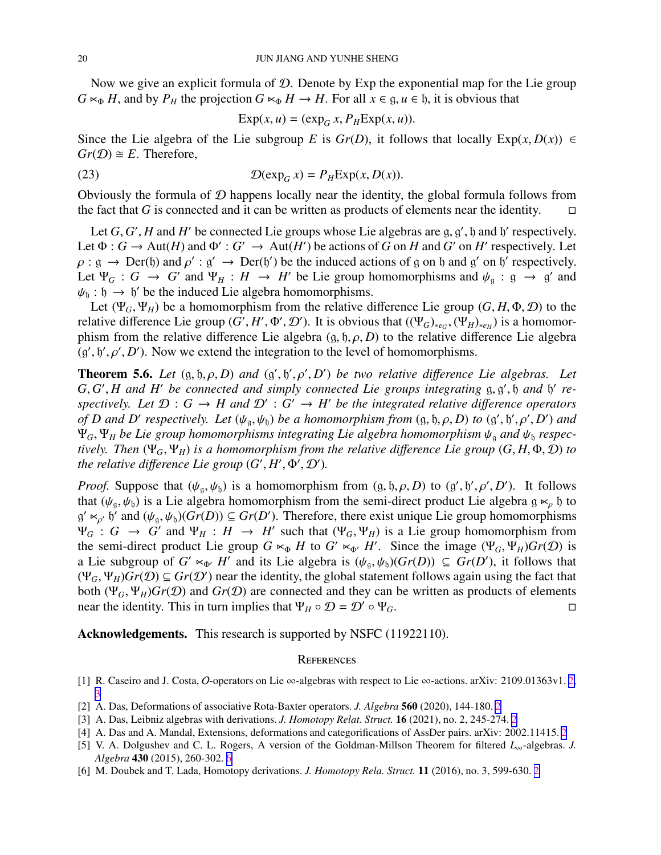<span id="page-19-0"></span>Now we give an explicit formula of  $D$ . Denote by Exp the exponential map for the Lie group  $G \ltimes_{\Phi} H$ , and by  $P_H$  the projection  $G \ltimes_{\Phi} H \to H$ . For all  $x \in \mathfrak{g}, u \in \mathfrak{h}$ , it is obvious that

$$
Exp(x, u) = (exp_G x, P_H Exp(x, u)).
$$

Since the Lie algebra of the Lie subgroup *E* is  $Gr(D)$ , it follows that locally  $Exp(x, D(x)) \in$  $Gr(\mathcal{D}) \cong E$ . Therefore,

(23) 
$$
\mathcal{D}(\exp_G x) = P_H \exp(x, D(x)).
$$

Obviously the formula of  $D$  happens locally near the identity, the global formula follows from the fact that *G* is connected and it can be written as products of elements near the identity.  $\square$ 

Let  $G$ ,  $G'$ ,  $H$  and  $H'$  be connected Lie groups whose Lie algebras are  $g$ ,  $g'$ ,  $h$  and  $h'$  respectively. Let  $\Phi: G \to \text{Aut}(H)$  and  $\Phi': G' \to \text{Aut}(H')$  be actions of *G* on *H* and *G'* on *H'* respectively. Let  $\rho : g \to Der(\mathfrak{h})$  and  $\rho' : g' \to Der(\mathfrak{h}')$  be the induced actions of g on  $\mathfrak{h}$  and g' on  $\mathfrak{h}'$  respectively. Let  $\Psi_G$  :  $G \to G'$  and  $\Psi_H$  :  $H \to H'$  be Lie group homomorphisms and  $\psi_g$  :  $g \to g'$  and  $\psi_{\mathfrak{h}} : \mathfrak{h} \to \mathfrak{h}'$  be the induced Lie algebra homomorphisms.

Let  $(\Psi_G, \Psi_H)$  be a homomorphism from the relative difference Lie group  $(G, H, \Phi, \mathcal{D})$  to the relative difference Lie group  $(G', H', \Phi', \mathcal{D}')$ . It is obvious that  $((\Psi_G)_{*e_G}, (\Psi_H)_{*e_H})$  is a homomorphism from the relative difference Lie algebra  $(g, \mathfrak{h}, \rho, D)$  to the relative difference Lie algebra  $(g', b', \rho', D')$ . Now we extend the integration to the level of homomorphisms.

**Theorem 5.6.** Let  $(g, b, \rho, D)$  and  $(g', b', \rho', D')$  be two relative difference Lie algebras. Let G, G', H and H' be connected and simply connected Lie groups integrating g, g', b and b' respectively. Let  $\mathcal{D}: G \to H$  and  $\mathcal{D}': G' \to H'$  be the integrated relative difference operators *of D* and *D'* respectively. Let  $(\psi_{\mathfrak{g}}, \psi_{\mathfrak{h}})$  *be a homomorphism from*  $(\mathfrak{g}, \mathfrak{h}, \rho, D)$  *to*  $(\mathfrak{g}', \mathfrak{h}', \rho', D')$  and  $\Psi_G$ ,  $\Psi_H$  *be Lie group homomorphisms integrating Lie algebra homomorphism*  $\psi_a$  *and*  $\psi_b$  *respectively. Then* (Ψ*G*, Ψ*H*) *is a homomorphism from the relative di*ff*erence Lie group* (*G*, *H*, Φ, D) *to the relative difference Lie group*  $(G', H', \Phi', D')$ .

*Proof.* Suppose that  $(\psi_{g}, \psi_{b})$  is a homomorphism from  $(g, \mathfrak{h}, \rho, D)$  to  $(g', \mathfrak{h}', \rho', D')$ . It follows that ( $\psi_{\alpha}, \psi_{\beta}$ ) is a Lie algebra homomorphism from the semi-direct product Lie algebra g  $\kappa_{\rho}$  h to  $g' \ltimes_{\rho'} g'$  and  $(\psi_g, \psi_b)(Gr(D)) \subseteq Gr(D')$ . Therefore, there exist unique Lie group homomorphisms  $\Psi_G$ :  $G \to G'$  and  $\Psi_H : H \to H'$  such that  $(\Psi_G, \Psi_H)$  is a Lie group homomorphism from the semi-direct product Lie group  $G \lt \phi \circ H$  to  $G' \lt \phi'$  *H'*. Since the image  $(\Psi_G, \Psi_H)Gr(\mathcal{D})$  is a Lie subgroup of  $G' \lt \sim_{\Phi'} H'$  and its Lie algebra is  $(\psi_{\mathfrak{g}}, \psi_{\mathfrak{h}})(Gr(D)) \subseteq Gr(D')$ , it follows that  $(\Psi_G, \Psi_H)$  $\overline{Gr(D)} \subseteq \overline{Gr(D')}$  near the identity, the global statement follows again using the fact that both  $(\Psi_G, \Psi_H)$ *Gr*(*D*) and *Gr*(*D*) are connected and they can be written as products of elements near the identity. This in turn implies that  $\Psi_H \circ \mathcal{D} = \mathcal{D}' \circ \Psi_G$ .

Acknowledgements. This research is supported by NSFC (11922110).

#### **REFERENCES**

- [1] R. Caseiro and J. Costa, O-operators on Lie ∞-algebras with respect to Lie ∞-actions. arXiv: 2109.01363v1. [2,](#page-1-0) [3](#page-2-0)
- [2] A. Das, Deformations of associative Rota-Baxter operators. *J. Algebra* 560 (2020), 144-180. [2](#page-1-0)
- [3] A. Das, Leibniz algebras with derivations. *J. Homotopy Relat. Struct.* 16 (2021), no. 2, 245-274. [2](#page-1-0)
- [4] A. Das and A. Mandal, Extensions, deformations and categorifications of AssDer pairs. arXiv: 2002.11415. [2](#page-1-0)
- [5] V. A. Dolgushev and C. L. Rogers, A version of the Goldman-Millson Theorem for filtered *L*∞-algebras. *J. Algebra* 430 (2015), 260-302. [6](#page-5-0)
- [6] M. Doubek and T. Lada, Homotopy derivations. *J. Homotopy Rela. Struct.* 11 (2016), no. 3, 599-630. [2](#page-1-0)